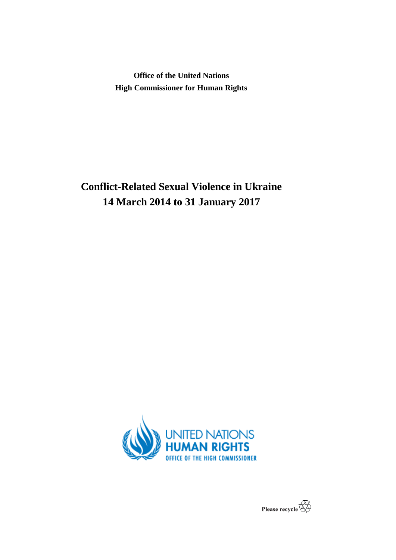**Office of the United Nations High Commissioner for Human Rights**

**Conflict-Related Sexual Violence in Ukraine 14 March 2014 to 31 January 2017**



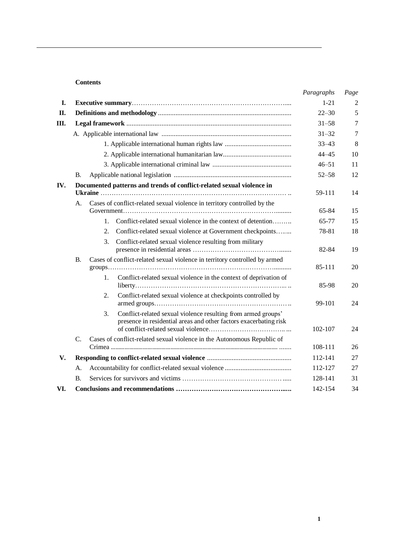## **Contents**

|             |                 |                                                                                                                                          | Paragraphs | Page |
|-------------|-----------------|------------------------------------------------------------------------------------------------------------------------------------------|------------|------|
| I.          |                 |                                                                                                                                          | $1 - 21$   | 2    |
| II.         |                 |                                                                                                                                          | $22 - 30$  | 5    |
| Ш.          |                 |                                                                                                                                          | $31 - 58$  | 7    |
|             |                 |                                                                                                                                          | $31 - 32$  | 7    |
|             |                 |                                                                                                                                          | $33 - 43$  | 8    |
|             |                 |                                                                                                                                          | $44 - 45$  | 10   |
|             |                 |                                                                                                                                          | $46 - 51$  | 11   |
|             | В.              |                                                                                                                                          | $52 - 58$  | 12   |
| IV.         |                 | Documented patterns and trends of conflict-related sexual violence in                                                                    |            |      |
|             |                 |                                                                                                                                          | 59-111     | 14   |
|             | А.              | Cases of conflict-related sexual violence in territory controlled by the                                                                 |            |      |
|             |                 |                                                                                                                                          | 65-84      | 15   |
|             |                 | Conflict-related sexual violence in the context of detention<br>$1_{-}$                                                                  | 65-77      | 15   |
|             |                 | Conflict-related sexual violence at Government checkpoints<br>2.                                                                         | 78-81      | 18   |
|             |                 | Conflict-related sexual violence resulting from military<br>3.                                                                           | 82-84      | 19   |
|             | <b>B.</b>       | Cases of conflict-related sexual violence in territory controlled by armed                                                               | 85-111     | 20   |
|             |                 | 1.<br>Conflict-related sexual violence in the context of deprivation of                                                                  | 85-98      | 20   |
|             |                 | Conflict-related sexual violence at checkpoints controlled by<br>2.                                                                      | 99-101     | 24   |
|             |                 | Conflict-related sexual violence resulting from armed groups'<br>3.<br>presence in residential areas and other factors exacerbating risk | 102-107    | 24   |
|             | $\mathcal{C}$ . | Cases of conflict-related sexual violence in the Autonomous Republic of                                                                  |            |      |
|             |                 |                                                                                                                                          | 108-111    | 26   |
| $V_{\cdot}$ |                 |                                                                                                                                          | 112-141    | 27   |
|             | А.              |                                                                                                                                          | 112-127    | 27   |
|             | <b>B.</b>       |                                                                                                                                          | 128-141    | 31   |
| VI.         |                 |                                                                                                                                          | 142-154    | 34   |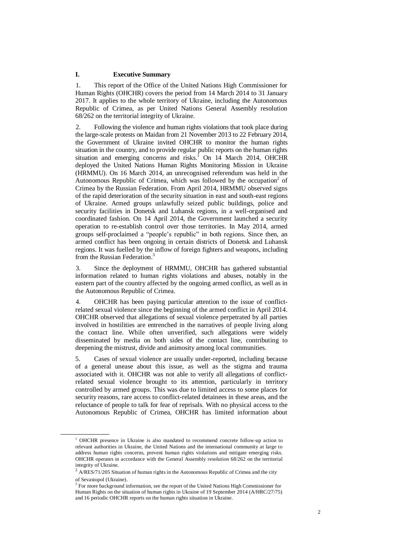#### **I. Executive Summary**

1. This report of the Office of the United Nations High Commissioner for Human Rights (OHCHR) covers the period from 14 March 2014 to 31 January 2017. It applies to the whole territory of Ukraine, including the Autonomous Republic of Crimea, as per United Nations General Assembly resolution 68/262 on the territorial integrity of Ukraine.

2. Following the violence and human rights violations that took place during the large-scale protests on Maidan from 21 November 2013 to 22 February 2014, the Government of Ukraine invited OHCHR to monitor the human rights situation in the country, and to provide regular public reports on the human rights situation and emerging concerns and risks.<sup>1</sup> On 14 March 2014, OHCHR deployed the United Nations Human Rights Monitoring Mission in Ukraine (HRMMU). On 16 March 2014, an unrecognised referendum was held in the Autonomous Republic of Crimea, which was followed by the occupation $2$  of Crimea by the Russian Federation. From April 2014, HRMMU observed signs of the rapid deterioration of the security situation in east and south-east regions of Ukraine. Armed groups unlawfully seized public buildings, police and security facilities in Donetsk and Luhansk regions, in a well-organised and coordinated fashion. On 14 April 2014, the Government launched a security operation to re-establish control over those territories. In May 2014, armed groups self-proclaimed a "people's republic" in both regions. Since then, an armed conflict has been ongoing in certain districts of Donetsk and Luhansk regions. It was fuelled by the inflow of foreign fighters and weapons, including from the Russian Federation.<sup>3</sup>

3. Since the deployment of HRMMU, OHCHR has gathered substantial information related to human rights violations and abuses, notably in the eastern part of the country affected by the ongoing armed conflict, as well as in the Autonomous Republic of Crimea.

4. OHCHR has been paying particular attention to the issue of conflictrelated sexual violence since the beginning of the armed conflict in April 2014. OHCHR observed that allegations of sexual violence perpetrated by all parties involved in hostilities are entrenched in the narratives of people living along the contact line. While often unverified, such allegations were widely disseminated by media on both sides of the contact line, contributing to deepening the mistrust, divide and animosity among local communities.

5. Cases of sexual violence are usually under-reported, including because of a general unease about this issue, as well as the stigma and trauma associated with it. OHCHR was not able to verify all allegations of conflictrelated sexual violence brought to its attention, particularly in territory controlled by armed groups. This was due to limited access to some places for security reasons, rare access to conflict-related detainees in these areas, and the reluctance of people to talk for fear of reprisals. With no physical access to the Autonomous Republic of Crimea, OHCHR has limited information about

<sup>&</sup>lt;sup>1</sup> OHCHR presence in Ukraine is also mandated to recommend concrete follow-up action to relevant authorities in Ukraine, the United Nations and the international community at large to address human rights concerns, prevent human rights violations and mitigate emerging risks. OHCHR operates in accordance with the General Assembly resolution 68/262 on the territorial integrity of Ukraine.

 $2$  A/RES/71/205 Situation of human rights in the Autonomous Republic of Crimea and the city of Sevastopol (Ukraine).

<sup>&</sup>lt;sup>3</sup> For more background information, see the report of the United Nations High Commissioner for Human Rights on the situation of human rights in Ukraine of 19 September 2014 (A/HRC/27/75) and 16 periodic OHCHR reports on the human rights situation in Ukraine.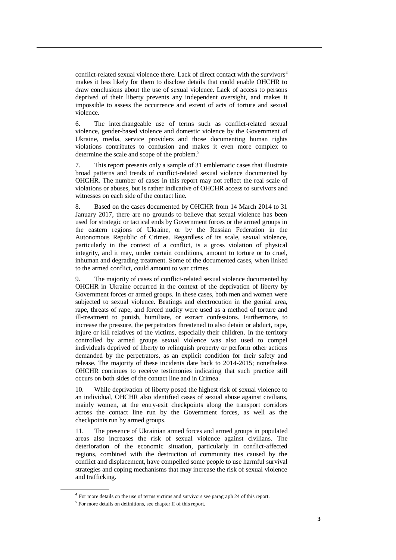conflict-related sexual violence there. Lack of direct contact with the survivors<sup>4</sup> makes it less likely for them to disclose details that could enable OHCHR to draw conclusions about the use of sexual violence. Lack of access to persons deprived of their liberty prevents any independent oversight, and makes it impossible to assess the occurrence and extent of acts of torture and sexual violence.

6. The interchangeable use of terms such as conflict-related sexual violence, gender-based violence and domestic violence by the Government of Ukraine, media, service providers and those documenting human rights violations contributes to confusion and makes it even more complex to determine the scale and scope of the problem.<sup>5</sup>

7. This report presents only a sample of 31 emblematic cases that illustrate broad patterns and trends of conflict-related sexual violence documented by OHCHR. The number of cases in this report may not reflect the real scale of violations or abuses, but is rather indicative of OHCHR access to survivors and witnesses on each side of the contact line.

8. Based on the cases documented by OHCHR from 14 March 2014 to 31 January 2017, there are no grounds to believe that sexual violence has been used for strategic or tactical ends by Government forces or the armed groups in the eastern regions of Ukraine, or by the Russian Federation in the Autonomous Republic of Crimea. Regardless of its scale, sexual violence, particularly in the context of a conflict, is a gross violation of physical integrity, and it may, under certain conditions, amount to torture or to cruel, inhuman and degrading treatment. Some of the documented cases, when linked to the armed conflict, could amount to war crimes.

9. The majority of cases of conflict-related sexual violence documented by OHCHR in Ukraine occurred in the context of the deprivation of liberty by Government forces or armed groups. In these cases, both men and women were subjected to sexual violence. Beatings and electrocution in the genital area, rape, threats of rape, and forced nudity were used as a method of torture and ill-treatment to punish, humiliate, or extract confessions. Furthermore, to increase the pressure, the perpetrators threatened to also detain or abduct, rape, injure or kill relatives of the victims, especially their children. In the territory controlled by armed groups sexual violence was also used to compel individuals deprived of liberty to relinquish property or perform other actions demanded by the perpetrators, as an explicit condition for their safety and release. The majority of these incidents date back to 2014-2015; nonetheless OHCHR continues to receive testimonies indicating that such practice still occurs on both sides of the contact line and in Crimea.

10. While deprivation of liberty posed the highest risk of sexual violence to an individual, OHCHR also identified cases of sexual abuse against civilians, mainly women, at the entry-exit checkpoints along the transport corridors across the contact line run by the Government forces, as well as the checkpoints run by armed groups.

11. The presence of Ukrainian armed forces and armed groups in populated areas also increases the risk of sexual violence against civilians. The deterioration of the economic situation, particularly in conflict-affected regions, combined with the destruction of community ties caused by the conflict and displacement, have compelled some people to use harmful survival strategies and coping mechanisms that may increase the risk of sexual violence and trafficking.

 $4$  For more details on the use of terms victims and survivors see paragraph 24 of this report.

<sup>&</sup>lt;sup>5</sup> For more details on definitions, see chapter II of this report.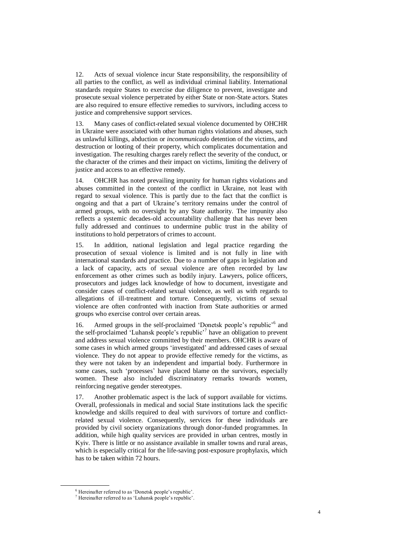12. Acts of sexual violence incur State responsibility, the responsibility of all parties to the conflict, as well as individual criminal liability. International standards require States to exercise due diligence to prevent, investigate and prosecute sexual violence perpetrated by either State or non-State actors. States are also required to ensure effective remedies to survivors, including access to justice and comprehensive support services.

13. Many cases of conflict-related sexual violence documented by OHCHR in Ukraine were associated with other human rights violations and abuses, such as unlawful killings, abduction or *incommunicado* detention of the victims, and destruction or looting of their property, which complicates documentation and investigation. The resulting charges rarely reflect the severity of the conduct, or the character of the crimes and their impact on victims, limiting the delivery of justice and access to an effective remedy.

14. OHCHR has noted prevailing impunity for human rights violations and abuses committed in the context of the conflict in Ukraine, not least with regard to sexual violence. This is partly due to the fact that the conflict is ongoing and that a part of Ukraine's territory remains under the control of armed groups, with no oversight by any State authority. The impunity also reflects a systemic decades-old accountability challenge that has never been fully addressed and continues to undermine public trust in the ability of institutions to hold perpetrators of crimes to account.

15. In addition, national legislation and legal practice regarding the prosecution of sexual violence is limited and is not fully in line with international standards and practice. Due to a number of gaps in legislation and a lack of capacity, acts of sexual violence are often recorded by law enforcement as other crimes such as bodily injury. Lawyers, police officers, prosecutors and judges lack knowledge of how to document, investigate and consider cases of conflict-related sexual violence, as well as with regards to allegations of ill-treatment and torture. Consequently, victims of sexual violence are often confronted with inaction from State authorities or armed groups who exercise control over certain areas.

16. Armed groups in the self-proclaimed 'Donetsk people's republic'<sup>6</sup> and the self-proclaimed 'Luhansk people's republic'<sup>7</sup> have an obligation to prevent and address sexual violence committed by their members. OHCHR is aware of some cases in which armed groups 'investigated' and addressed cases of sexual violence. They do not appear to provide effective remedy for the victims, as they were not taken by an independent and impartial body. Furthermore in some cases, such 'processes' have placed blame on the survivors, especially women. These also included discriminatory remarks towards women, reinforcing negative gender stereotypes.

17. Another problematic aspect is the lack of support available for victims. Overall, professionals in medical and social State institutions lack the specific knowledge and skills required to deal with survivors of torture and conflictrelated sexual violence. Consequently, services for these individuals are provided by civil society organizations through donor-funded programmes. In addition, while high quality services are provided in urban centres, mostly in Kyiv. There is little or no assistance available in smaller towns and rural areas, which is especially critical for the life-saving post-exposure prophylaxis, which has to be taken within 72 hours.

<sup>6</sup> Hereinafter referred to as 'Donetsk people's republic'.

<sup>7</sup> Hereinafter referred to as 'Luhansk people's republic'.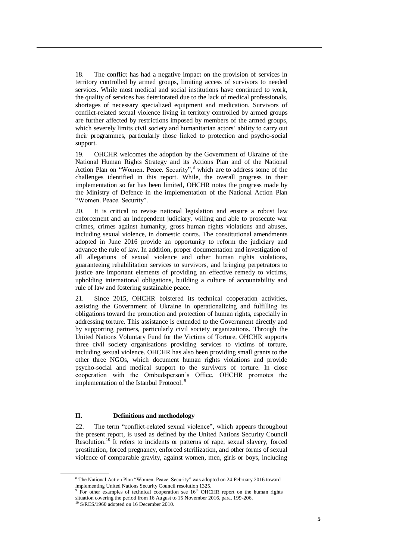18. The conflict has had a negative impact on the provision of services in territory controlled by armed groups, limiting access of survivors to needed services. While most medical and social institutions have continued to work, the quality of services has deteriorated due to the lack of medical professionals, shortages of necessary specialized equipment and medication. Survivors of conflict-related sexual violence living in territory controlled by armed groups are further affected by restrictions imposed by members of the armed groups, which severely limits civil society and humanitarian actors' ability to carry out their programmes, particularly those linked to protection and psycho-social support.

19. OHCHR welcomes the adoption by the Government of Ukraine of the National Human Rights Strategy and its Actions Plan and of the National Action Plan on "Women. Peace. Security",<sup>8</sup> which are to address some of the challenges identified in this report. While, the overall progress in their implementation so far has been limited, OHCHR notes the progress made by the Ministry of Defence in the implementation of the National Action Plan "Women. Peace. Security".

20. It is critical to revise national legislation and ensure a robust law enforcement and an independent judiciary, willing and able to prosecute war crimes, crimes against humanity, gross human rights violations and abuses, including sexual violence, in domestic courts. The constitutional amendments adopted in June 2016 provide an opportunity to reform the judiciary and advance the rule of law. In addition, proper documentation and investigation of all allegations of sexual violence and other human rights violations, guaranteeing rehabilitation services to survivors, and bringing perpetrators to justice are important elements of providing an effective remedy to victims, upholding international obligations, building a culture of accountability and rule of law and fostering sustainable peace.

21. Since 2015, OHCHR bolstered its technical cooperation activities, assisting the Government of Ukraine in operationalizing and fulfilling its obligations toward the promotion and protection of human rights, especially in addressing torture. This assistance is extended to the Government directly and by supporting partners, particularly civil society organizations. Through the United Nations Voluntary Fund for the Victims of Torture, OHCHR supports three civil society organisations providing services to victims of torture, including sexual violence. OHCHR has also been providing small grants to the other three NGOs, which document human rights violations and provide psycho-social and medical support to the survivors of torture. In close cooperation with the Ombudsperson's Office, OHCHR promotes the implementation of the Istanbul Protocol. <sup>9</sup>

## **II. Definitions and methodology**

22. The term "conflict-related sexual violence", which appears throughout the present report, is used as defined by the United Nations Security Council Resolution.<sup>10</sup> It refers to incidents or patterns of rape, sexual slavery, forced prostitution, forced pregnancy, enforced sterilization, and other forms of sexual violence of comparable gravity, against women, men, girls or boys, including

<sup>8</sup> The National Action Plan "Women. Peace. Security" was adopted on 24 February 2016 toward implementing United Nations Security Council resolution 1325.

For other examples of technical cooperation see  $16<sup>th</sup>$  OHCHR report on the human rights situation covering the period from 16 August to 15 November 2016, para. 199-206.

<sup>&</sup>lt;sup>10</sup> S/RES/1960 adopted on 16 December 2010.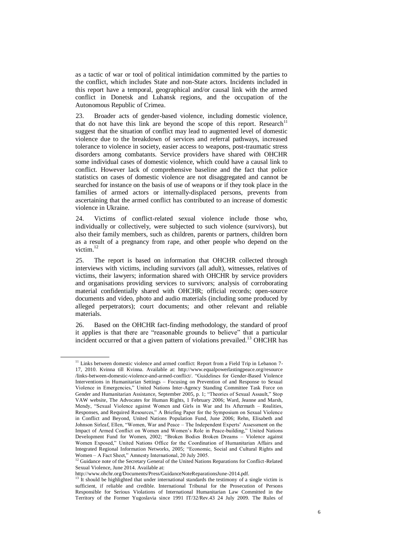as a tactic of war or tool of political intimidation committed by the parties to the conflict, which includes State and non-State actors. Incidents included in this report have a temporal, geographical and/or causal link with the armed conflict in Donetsk and Luhansk regions, and the occupation of the Autonomous Republic of Crimea.

23. Broader acts of gender-based violence, including domestic violence, that do not have this link are beyond the scope of this report. Research<sup>11</sup> suggest that the situation of conflict may lead to augmented level of domestic violence due to the breakdown of services and referral pathways, increased tolerance to violence in society, easier access to weapons, post-traumatic stress disorders among combatants. Service providers have shared with OHCHR some individual cases of domestic violence, which could have a causal link to conflict. However lack of comprehensive baseline and the fact that police statistics on cases of domestic violence are not disaggregated and cannot be searched for instance on the basis of use of weapons or if they took place in the families of armed actors or internally-displaced persons, prevents from ascertaining that the armed conflict has contributed to an increase of domestic violence in Ukraine.

24. Victims of conflict-related sexual violence include those who, individually or collectively, were subjected to such violence (survivors), but also their family members, such as children, parents or partners, children born as a result of a pregnancy from rape, and other people who depend on the victim. 12

25. The report is based on information that OHCHR collected through interviews with victims, including survivors (all adult), witnesses, relatives of victims, their lawyers; information shared with OHCHR by service providers and organisations providing services to survivors; analysis of corroborating material confidentially shared with OHCHR; official records; open-source documents and video, photo and audio materials (including some produced by alleged perpetrators); court documents; and other relevant and reliable materials.

26. Based on the OHCHR fact-finding methodology, the standard of proof it applies is that there are "reasonable grounds to believe" that a particular incident occurred or that a given pattern of violations prevailed.<sup>13</sup> OHCHR has

<sup>&</sup>lt;sup>11</sup> Links between domestic violence and armed conflict: Report from a Field Trip in Lebanon 7-17, 2010. Kvinna till Kvinna. Available at: [http://www.equalpowerlastingpeace.org/resource](http://www.equalpowerlastingpeace.org/resource%20/links-between-domestic-violence-and-armed-conflict/)  [/links-between-domestic-violence-and-armed-conflict/.](http://www.equalpowerlastingpeace.org/resource%20/links-between-domestic-violence-and-armed-conflict/) "Guidelines for Gender-Based Violence Interventions in Humanitarian Settings – Focusing on Prevention of and Response to Sexual Violence in Emergencies," United Nations Inter-Agency Standing Committee Task Force on Gender and Humanitarian Assistance, September 2005, p. 1; "Theories of Sexual Assault," Stop VAW website, The Advocates for Human Rights, 1 February 2006; Ward, Jeanne and Marsh, Mendy, "Sexual Violence against Women and Girls in War and Its Aftermath – Realities, Responses, and Required Resources," A Briefing Paper for the Symposium on Sexual Violence in Conflict and Beyond, United Nations Population Fund, June 2006; Rehn, Elisabeth and Johnson Sirleaf, Ellen, "Women, War and Peace – The Independent Experts' Assessment on the Impact of Armed Conflict on Women and Women's Role in Peace-building," United Nations Development Fund for Women, 2002; "Broken Bodies Broken Dreams – Violence against Women Exposed," United Nations Office for the Coordination of Humanitarian Affairs and Integrated Regional Information Networks, 2005; "Economic, Social and Cultural Rights and Women – A Fact Sheet," Amnesty International, 20 July 2005.

<sup>&</sup>lt;sup>12</sup> Guidance note of the Secretary General of the United Nations Reparations for Conflict-Related Sexual Violence, June 2014. Available at:

http://www.ohchr.org/Documents/Press/GuidanceNoteReparationsJune-2014.pdf.

 $^{13}$  It should be highlighted that under international standards the testimony of a single victim is sufficient, if reliable and credible. International Tribunal for the Prosecution of Persons Responsible for Serious Violations of International Humanitarian Law Committed in the Territory of the Former Yugoslavia since 1991 IT/32/Rev.43 24 July 2009. The Rules of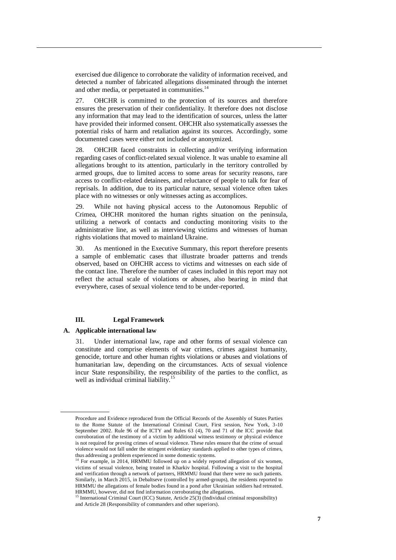exercised due diligence to corroborate the validity of information received, and detected a number of fabricated allegations disseminated through the internet and other media, or perpetuated in communities.<sup>14</sup>

27. OHCHR is committed to the protection of its sources and therefore ensures the preservation of their confidentiality. It therefore does not disclose any information that may lead to the identification of sources, unless the latter have provided their informed consent. OHCHR also systematically assesses the potential risks of harm and retaliation against its sources. Accordingly, some documented cases were either not included or anonymized.

28. OHCHR faced constraints in collecting and/or verifying information regarding cases of conflict-related sexual violence. It was unable to examine all allegations brought to its attention, particularly in the territory controlled by armed groups, due to limited access to some areas for security reasons, rare access to conflict-related detainees, and reluctance of people to talk for fear of reprisals. In addition, due to its particular nature, sexual violence often takes place with no witnesses or only witnesses acting as accomplices.

29. While not having physical access to the Autonomous Republic of Crimea, OHCHR monitored the human rights situation on the peninsula, utilizing a network of contacts and conducting monitoring visits to the administrative line, as well as interviewing victims and witnesses of human rights violations that moved to mainland Ukraine.

30. As mentioned in the Executive Summary, this report therefore presents a sample of emblematic cases that illustrate broader patterns and trends observed, based on OHCHR access to victims and witnesses on each side of the contact line. Therefore the number of cases included in this report may not reflect the actual scale of violations or abuses, also bearing in mind that everywhere, cases of sexual violence tend to be under-reported.

# **III. Legal Framework**

# **A. Applicable international law**

31. Under international law, rape and other forms of sexual violence can constitute and comprise elements of war crimes, crimes against humanity, genocide, torture and other human rights violations or abuses and violations of humanitarian law, depending on the circumstances. Acts of sexual violence incur State responsibility, the responsibility of the parties to the conflict, as well as individual criminal liability.<sup>15</sup>

Procedure and Evidence reproduced from the Official Records of the Assembly of States Parties to the Rome Statute of the International Criminal Court, First session, New York, 3-10 September 2002. Rule 96 of the ICTY and Rules 63 (4), 70 and 71 of the ICC provide that corroboration of the testimony of a victim by additional witness testimony or physical evidence is not required for proving crimes of sexual violence. These rules ensure that the crime of sexual violence would not fall under the stringent evidentiary standards applied to other types of crimes, thus addressing a problem experienced in some domestic systems.

<sup>&</sup>lt;sup>14</sup> For example, in 2014, HRMMU followed up on a widely reported allegation of six women, victims of sexual violence, being treated in Kharkiv hospital. Following a visit to the hospital and verification through a network of partners, HRMMU found that there were no such patients. Similarly, in March 2015, in Debaltseve (controlled by armed-groups), the residents reported to HRMMU the allegations of female bodies found in a pond after Ukrainian soldiers had retreated. HRMMU, however, did not find information corroborating the allegations.

<sup>&</sup>lt;sup>15</sup> International Criminal Court (ICC) Statute, Article 25(3) (Individual criminal responsibility) and Article 28 (Responsibility of commanders and other superiors).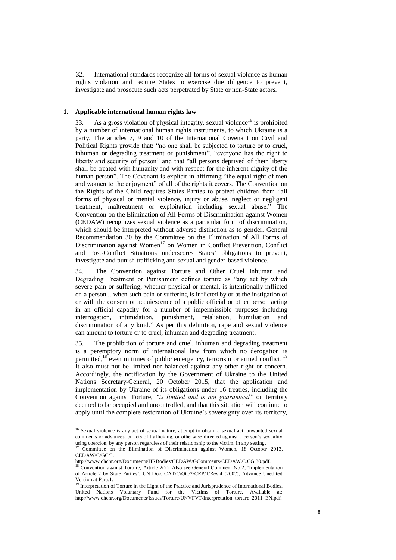32. International standards recognize all forms of sexual violence as human rights violation and require States to exercise due diligence to prevent, investigate and prosecute such acts perpetrated by State or non-State actors.

## **1. Applicable international human rights law**

33. As a gross violation of physical integrity, sexual violence<sup>16</sup> is prohibited by a number of international human rights instruments, to which Ukraine is a party. The articles 7, 9 and 10 of the International Covenant on Civil and Political Rights provide that: "no one shall be subjected to torture or to cruel, inhuman or degrading treatment or punishment", "everyone has the right to liberty and security of person" and that "all persons deprived of their liberty shall be treated with humanity and with respect for the inherent dignity of the human person". The Covenant is explicit in affirming "the equal right of men and women to the enjoyment" of all of the rights it covers. The Convention on the Rights of the Child requires States Parties to protect children from "all forms of physical or mental violence, injury or abuse, neglect or negligent treatment, maltreatment or exploitation including sexual abuse." The Convention on the Elimination of All Forms of Discrimination against Women (CEDAW) recognizes sexual violence as a particular form of discrimination, which should be interpreted without adverse distinction as to gender. General Recommendation 30 by the Committee on the Elimination of All Forms of Discrimination against Women<sup>17</sup> on Women in Conflict Prevention, Conflict and Post-Conflict Situations underscores States' obligations to prevent, investigate and punish trafficking and sexual and gender-based violence.

34. The Convention against Torture and Other Cruel Inhuman and Degrading Treatment or Punishment defines torture as "any act by which severe pain or suffering, whether physical or mental, is intentionally inflicted on a person... when such pain or suffering is inflicted by or at the instigation of or with the consent or acquiescence of a public official or other person acting in an official capacity for a number of impermissible purposes including interrogation, intimidation, punishment, retaliation, humiliation and discrimination of any kind." As per this definition, rape and sexual violence can amount to torture or to cruel, inhuman and degrading treatment.

35. The prohibition of torture and cruel, inhuman and degrading treatment is a peremptory norm of international law from which no derogation is permitted,<sup>18</sup> even in times of public emergency, terrorism or armed conflict.<sup>19</sup> It also must not be limited nor balanced against any other right or concern. Accordingly, the notification by the Government of Ukraine to the United Nations Secretary-General, 20 October 2015, that the application and implementation by Ukraine of its obligations under 16 treaties, including the Convention against Torture, *"is limited and is not guaranteed"* on territory deemed to be occupied and uncontrolled, and that this situation will continue to apply until the complete restoration of Ukraine's sovereignty over its territory,

<sup>&</sup>lt;sup>16</sup> Sexual violence is any act of sexual nature, attempt to obtain a sexual act, unwanted sexual comments or advances, or acts of trafficking, or otherwise directed against a person's sexuality using coercion, by any person regardless of their relationship to the victim, in any setting.<br> $\frac{17}{6}$  Committee,  $\frac{17}{6}$ <sup>17</sup> Committee on the Elimination of Discrimination against Women, 18 October 2013,

CEDAW/C/GC/3.

http://www.ohchr.org/Documents/HRBodies/CEDAW/GComments/CEDAW.C.CG.30.pdf.

<sup>&</sup>lt;sup>3</sup> Convention against Torture, Article 2(2). Also see General Comment No.2, 'Implementation of Article 2 by State Parties', UN Doc. CAT/C/GC/2/CRP/1/Rev.4 (2007), Advance Unedited Version at Para.1.

<sup>&</sup>lt;sup>19</sup> Interpretation of Torture in the Light of the Practice and Jurisprudence of International Bodies. United Nations Voluntary Fund for the Victims of Torture. Available at: http://www.ohchr.org/Documents/Issues/Torture/UNVFVT/Interpretation\_torture\_2011\_EN.pdf.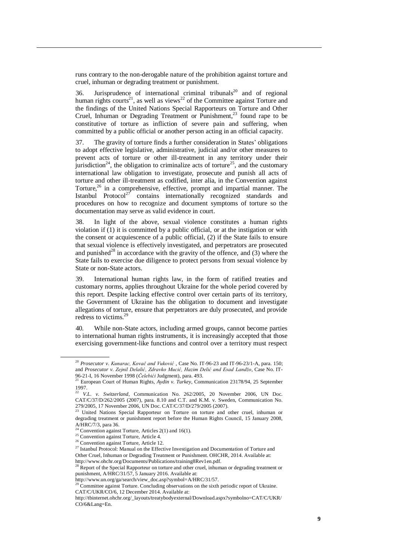runs contrary to the non-derogable nature of the prohibition against torture and cruel, inhuman or degrading treatment or punishment.

36. Jurisprudence of international criminal tribunals<sup>20</sup> and of regional human rights courts<sup>21</sup>, as well as views<sup>22</sup> of the Committee against Torture and the findings of the United Nations Special Rapporteurs on Torture and Other Cruel, Inhuman or Degrading Treatment or Punishment, <sup>23</sup> found rape to be constitutive of torture as infliction of severe pain and suffering, when committed by a public official or another person acting in an official capacity.

37. The gravity of torture finds a further consideration in States' obligations to adopt effective legislative, administrative, judicial and/or other measures to prevent acts of torture or other ill-treatment in any territory under their jurisdiction<sup>24</sup>, the obligation to criminalize acts of torture<sup>25</sup>, and the customary international law obligation to investigate, prosecute and punish all acts of torture and other ill-treatment as codified, inter alia, in the Convention against Torture, $26$  in a comprehensive, effective, prompt and impartial manner. The Istanbul Protocol<sup>27</sup> contains internationally recognized standards and procedures on how to recognize and document symptoms of torture so the documentation may serve as valid evidence in court.

In light of the above, sexual violence constitutes a human rights violation if (1) it is committed by a public official, or at the instigation or with the consent or acquiescence of a public official, (2) if the State fails to ensure that sexual violence is effectively investigated, and perpetrators are prosecuted and punished<sup>28</sup> in accordance with the gravity of the offence, and  $(3)$  where the State fails to exercise due diligence to protect persons from sexual violence by State or non-State actors.

39. International human rights law, in the form of ratified treaties and customary norms, applies throughout Ukraine for the whole period covered by this report. Despite lacking effective control over certain parts of its territory, the Government of Ukraine has the obligation to document and investigate allegations of torture, ensure that perpetrators are duly prosecuted, and provide redress to victims.<sup>29</sup>

40. While non-State actors, including armed groups, cannot become parties to international human rights instruments, it is increasingly accepted that those exercising government-like functions and control over a territory must respect

<sup>&</sup>lt;sup>20</sup> Prosecutor v. Kunarac, Kovač and Vuković, Case No. IT-96-23 and IT-96-23/1-A, para. 150; and *Prosecutor v. Zejnil Delalić, Zdravko Mucić, Hazim Delić and Esad Landžo,* Case No. IT-96-21-I, 16 November 1998 (*Čelebići* Judgment), para. 493.

<sup>21</sup> European Court of Human Rights, *Aydin v. Turkey*, Communication 23178/94, 25 September 1997.

<sup>22</sup> *V.L. v. Switzerland*, Communication No. 262/2005, 20 November 2006, UN Doc. CAT/C/37/D/262/2005 (2007), para. 8.10 and C.T. and K.M. v. Sweden, Communication No. 279/2005, 17 November 2006, UN Doc. CAT/C/37/D/279/2005 (2007).

<sup>23</sup> United Nations Special Rapporteur on Torture on torture and other cruel, inhuman or degrading treatment or punishment report before the Human Rights Council, 15 January 2008, A/HRC/7/3, para 36.

<sup>&</sup>lt;sup>24</sup> Convention against Torture, Articles 2(1) and 16(1).

<sup>25</sup> Convention against Torture, Article 4.

<sup>&</sup>lt;sup>26</sup> Convention against Torture, Article 12.

<sup>&</sup>lt;sup>27</sup> Istanbul Protocol: Manual on the Effective Investigation and Documentation of Torture and Other Cruel, Inhuman or Degrading Treatment or Punishment. OHCHR, 2014. Available at: [http://www.ohchr.org/Documents/Publications/training8Rev1en.pdf.](http://www.ohchr.org/Documents/Publications/training8Rev1en.pdf)

 $\beta$  Report of the Special Rapporteur on torture and other cruel, inhuman or degrading treatment or punishment, A/HRC/31/57, 5 January 2016. Available at:

http://www.un.org/ga/search/view\_doc.asp?symbol=A/HRC/31/57.

<sup>&</sup>lt;sup>29</sup> Committee against Torture. Concluding observations on the sixth periodic report of Ukraine. CAT/C/UKR/CO/6, 12 December 2014. Available at:

http://tbinternet.ohchr.org/\_layouts/treatybodyexternal/Download.aspx?symbolno=CAT/C/UKR/ CO/6&Lang=En.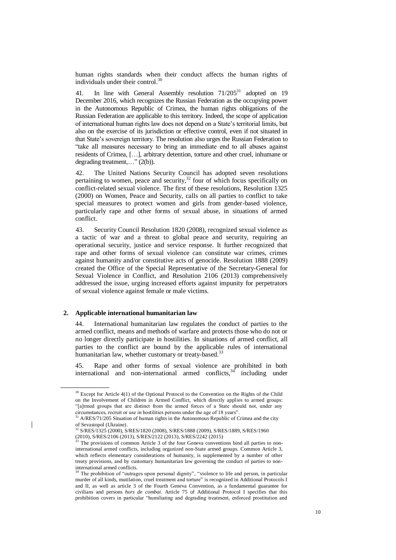human rights standards when their conduct affects the human rights of individuals under their control.<sup>3</sup>

41. In line with General Assembly resolution  $71/205^{31}$  adopted on 19 December 2016, which recognizes the Russian Federation as the occupying power in the Autonomous Republic of Crimea, the human rights obligations of the Russian Federation are applicable to this territory. Indeed, the scope of application of international human rights law does not depend on a State's territorial limits, but also on the exercise of its jurisdiction or effective control, even if not situated in that State's sovereign territory. The resolution also urges the Russian Federation to "take all measures necessary to bring an immediate end to all abuses against residents of Crimea, […], arbitrary detention, torture and other cruel, inhumane or degrading treatment,…" (2(b)).

42. The United Nations Security Council has adopted seven resolutions pertaining to women, peace and security, $32$  four of which focus specifically on conflict-related sexual violence. The first of these resolutions, Resolution 1325 (2000) on Women, Peace and Security, calls on all parties to conflict to take special measures to protect women and girls from gender-based violence, particularly rape and other forms of sexual abuse, in situations of armed conflict.

43. Security Council Resolution 1820 (2008), recognized sexual violence as a tactic of war and a threat to global peace and security, requiring an operational security, justice and service response. It further recognized that rape and other forms of sexual violence can constitute war crimes, crimes against humanity and/or constitutive acts of genocide. [Resolution 1888 \(2009\)](https://en.wikipedia.org/wiki/United_Nations_Security_Council_Resolution_1888) created the Office of the Special Representative of the Secretary-General for Sexual Violence in Conflict, and Resolution 2106 (2013) comprehensively addressed the issue, urging increased efforts against impunity for perpetrators of sexual violence against female or male victims.

### **2. Applicable international humanitarian law**

44. International humanitarian law regulates the conduct of parties to the armed conflict, means and methods of warfare and protects those who do not or no longer directly participate in hostilities. In situations of armed conflict, all parties to the conflict are bound by the applicable rules of international humanitarian law, whether customary or treaty-based.<sup>33</sup>

45. Rape and other forms of sexual violence are prohibited in both international and non-international armed conflicts,<sup>34</sup> including under

<sup>&</sup>lt;sup>30</sup> Except for Article 4(1) of the Optional Protocol to the Convention on the Rights of the Child on the Involvement of Children in Armed Conflict, which directly applies to armed groups: "[a]rmed groups that are distinct from the armed forces of a State should not, under any circumstances, recruit or use in hostilities persons under the age of 18 years".

<sup>31</sup> A/RES/71/205 Situation of human rights in the Autonomous Republic of Crimea and the city of Sevastopol (Ukraine).

<sup>32</sup> S/RES/1325 (2000), S/RES/1820 (2008), S/RES/1888 (2009), S/RES/1889, S/RES/1960 (2010), S/RES/2106 (2013), S/RES/2122 (2013), S/RES/2242 (2015)<br>
<sup>33</sup> The requirement of (2013), S/RES/2122 (2013), S/RES/2242 (2015)

The provisions of common Article 3 of the four Geneva conventions bind all parties to noninternational armed conflicts, including organized non-State armed groups. Common Article 3, which reflects elementary considerations of humanity, is supplemented by a number of other treaty provisions, and by customary humanitarian law governing the conduct of parties to noninternational armed conflicts.

<sup>&</sup>lt;sup>34</sup> The prohibition of "outrages upon personal dignity", "violence to life and person, in particular murder of all kinds, mutilation, cruel treatment and torture" is recognized in Additional Protocols I and II, as well as article 3 of the Fourth Geneva Convention, as a fundamental guarantee for civilians and persons *hors de combat*. Article 75 of Additional Protocol I specifies that this prohibition covers in particular "humiliating and degrading treatment, enforced prostitution and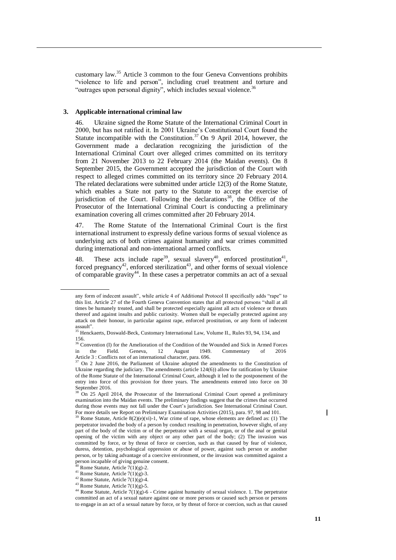customary law.<sup>35</sup> Article 3 common to the four Geneva Conventions prohibits "violence to life and person", including cruel treatment and torture and "outrages upon personal dignity", which includes sexual violence.<sup>36</sup>

## **3. Applicable international criminal law**

46. Ukraine signed the Rome Statute of the International Criminal Court in 2000, but has not ratified it. In 2001 Ukraine's Constitutional Court found the Statute incompatible with the Constitution.<sup>37</sup> On 9 April 2014, however, the Government made a declaration recognizing the jurisdiction of the International Criminal Court over alleged crimes committed on its territory from 21 November 2013 to 22 February 2014 (the Maidan events). On 8 September 2015, the Government accepted the jurisdiction of the Court with respect to alleged crimes committed on its territory since 20 February 2014. The related declarations were submitted under article 12(3) of the Rome Statute, which enables a State not party to the Statute to accept the exercise of jurisdiction of the Court. Following the declarations<sup>38</sup>, the Office of the Prosecutor of the International Criminal Court is conducting a preliminary examination covering all crimes committed after 20 February 2014.

47. The Rome Statute of the International Criminal Court is the first international instrument to expressly define various forms of sexual violence as underlying acts of both crimes against humanity and war crimes committed during international and non-international armed conflicts.

48. These acts include rape<sup>39</sup>, sexual slavery<sup>40</sup>, enforced prostitution<sup>41</sup>, forced pregnancy<sup>42</sup>, enforced sterilization<sup>43</sup>, and other forms of sexual violence of comparable gravity<sup>44</sup>. In these cases a perpetrator commits an act of a sexual

any form of indecent assault", while article 4 of Additional Protocol II specifically adds "rape" to this list. Article 27 of the Fourth Geneva Convention states that all protected persons "shall at all times be humanely treated, and shall be protected especially against all acts of violence or threats thereof and against insults and public curiosity. Women shall be especially protected against any attack on their honour, in particular against rape, enforced prostitution, or any form of indecent

assault".<br><sup>35</sup> Henckaerts, Doswald-Beck, Customary International Law, Volume II., Rules 93, 94, 134, and 156.

<sup>&</sup>lt;sup>36</sup> Convention (I) for the Amelioration of the Condition of the Wounded and Sick in Armed Forces [in the Field. Geneva, 12](https://ihl-databases.icrc.org/applic/ihl/ihl.nsf/Treaty.xsp?action=openDocument&documentId=4825657B0C7E6BF0C12563CD002D6B0B) August 1949. Commentary of 2016 Article 3: Conflicts not of an international character, para. 696.<br><sup>37</sup> On 2 June 2016, the Parliament of Ukraine adopted the amendments to the Constitution of

Ukraine regarding the judiciary. The amendments (article 124(6)) allow for ratification by Ukraine of the Rome Statute of the International Criminal Court, although it led to the postponement of the entry into force of this provision for three years. The amendments entered into force on 30 September 2016.

 $38$  On 25 April 2014, the Prosecutor of the International Criminal Court opened a preliminary examination into the Maidan events. The preliminary findings suggest that the crimes that occurred during those events may not fall under the Court's jurisdiction. See International Criminal Court. For more details see Report on Preliminary Examination Activities (2015), para. 97, 98 and 101.

Rome Statute, Article  $8(2)(e)(vi)$ -1, War crime of rape, whose elements are defined as: (1) The perpetrator invaded the body of a person by conduct resulting in penetration, however slight, of any part of the body of the victim or of the perpetrator with a sexual organ, or of the anal or genital opening of the victim with any object or any other part of the body; (2) The invasion was committed by force, or by threat of force or coercion, such as that caused by fear of violence, duress, detention, psychological oppression or abuse of power, against such person or another person, or by taking advantage of a coercive environment, or the invasion was committed against a person incapable of giving genuine consent.

Rome Statute, Article  $7(1)(g)-2$ .

 $41$  Rome Statute, Article 7(1)(g)-3.

 $42$  Rome Statute, Article 7(1)(g)-4.

 $43$  Rome Statute, Article 7(1)(g)-5.

<sup>44</sup> Rome Statute, Article  $7(1)(g)$ -6 - Crime against humanity of sexual violence. 1. The perpetrator committed an act of a sexual nature against one or more persons or caused such person or persons to engage in an act of a sexual nature by force, or by threat of force or coercion, such as that caused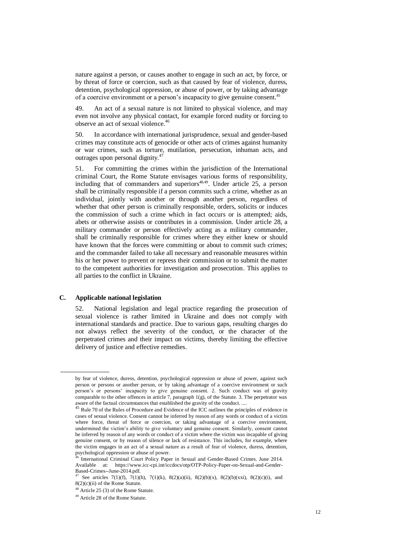nature against a person, or causes another to engage in such an act, by force, or by threat of force or coercion, such as that caused by fear of violence, duress, detention, psychological oppression, or abuse of power, or by taking advantage of a coercive environment or a person's incapacity to give genuine consent.<sup>45</sup>

49. An act of a sexual nature is not limited to physical violence, and may even not involve any physical contact, for example forced nudity or forcing to observe an act of sexual violence. 46

50. In accordance with international jurisprudence, sexual and gender-based crimes may constitute acts of genocide or other acts of crimes against humanity or war crimes, such as torture, mutilation, persecution, inhuman acts, and outrages upon personal dignity.

51. For committing the crimes within the jurisdiction of the International criminal Court, the Rome Statute envisages various forms of responsibility, including that of commanders and superiors<sup>48,49</sup>. Under article  $25$ , a person shall be criminally responsible if a person commits such a crime, whether as an individual, jointly with another or through another person, regardless of whether that other person is criminally responsible, orders, solicits or induces the commission of such a crime which in fact occurs or is attempted; aids, abets or otherwise assists or contributes in a commission. Under article 28, a military commander or person effectively acting as a military commander, shall be criminally responsible for crimes where they either knew or should have known that the forces were committing or about to commit such crimes; and the commander failed to take all necessary and reasonable measures within his or her power to prevent or repress their commission or to submit the matter to the competent authorities for investigation and prosecution. This applies to all parties to the conflict in Ukraine.

# **C. Applicable national legislation**

52. National legislation and legal practice regarding the prosecution of sexual violence is rather limited in Ukraine and does not comply with international standards and practice. Due to various gaps, resulting charges do not always reflect the severity of the conduct, or the character of the perpetrated crimes and their impact on victims, thereby limiting the effective delivery of justice and effective remedies.

by fear of violence, duress, detention, psychological oppression or abuse of power, against such person or persons or another person, or by taking advantage of a coercive environment or such person's or persons' incapacity to give genuine consent. 2. Such conduct was of gravity comparable to the other offences in article 7, paragraph 1(g), of the Statute. 3. The perpetrator was aware of the factual circumstances that established the gravity of the conduct. ....

<sup>&</sup>lt;sup>45</sup> Rule 70 of the Rules of Procedure and Evidence of the ICC outlines the principles of evidence in cases of sexual violence. Consent cannot be inferred by reason of any words or conduct of a victim where force, threat of force or coercion, or taking advantage of a coercive environment, undermined the victim's ability to give voluntary and genuine consent. Similarly, consent cannot be inferred by reason of any words or conduct of a victim where the victim was incapable of giving genuine consent, or by reason of silence or lack of resistance. This includes, for example, where the victim engages in an act of a sexual nature as a result of fear of violence, duress, detention, psychological oppression or abuse of power.

International Criminal Court Policy Paper in Sexual and Gender-Based Crimes. June 2014. Available at: https://www.icc-cpi.int/iccdocs/otp/OTP-Policy-Paper-on-Sexual-and-Gender-Based-Crimes--June-2014.pdf.

See articles 7(1)(f), 7(1)(h), 7(1)(k), 8(2)(a)(ii), 8(2)(b)(x), 8(2)(b)(xxi), 8(2)(c)(i), and 8(2)(c)(ii) of the Rome Statute.

<sup>48</sup> Article 25 (3) of the Rome Statute.

<sup>49</sup> Article 28 of the Rome Statute.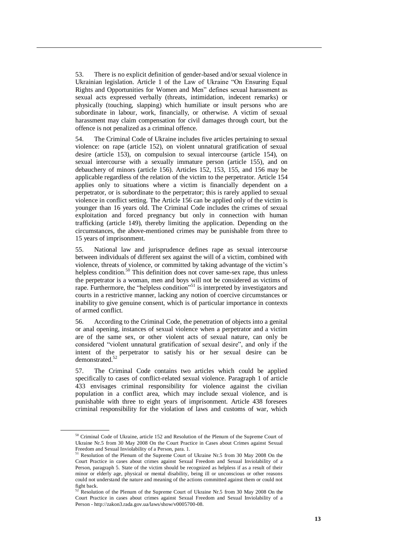53. There is no explicit definition of gender-based and/or sexual violence in Ukrainian legislation. Article 1 of the Law of Ukraine "On Ensuring Equal Rights and Opportunities for Women and Men" defines sexual harassment as sexual acts expressed verbally (threats, intimidation, indecent remarks) or physically (touching, slapping) which humiliate or insult persons who are subordinate in labour, work, financially, or otherwise. A victim of sexual harassment may claim compensation for civil damages through court, but the offence is not penalized as a criminal offence.

54. The Criminal Code of Ukraine includes five articles pertaining to sexual violence: on rape (article 152), on violent unnatural gratification of sexual desire (article 153), on compulsion to sexual intercourse (article 154), on sexual intercourse with a sexually immature person (article 155), and on debauchery of minors (article 156). Articles 152, 153, 155, and 156 may be applicable regardless of the relation of the victim to the perpetrator. Article 154 applies only to situations where a victim is financially dependent on a perpetrator, or is subordinate to the perpetrator; this is rarely applied to sexual violence in conflict setting. The Article 156 can be applied only of the victim is younger than 16 years old. The Criminal Code includes the crimes of sexual exploitation and forced pregnancy but only in connection with human trafficking (article 149), thereby limiting the application. Depending on the circumstances, the above-mentioned crimes may be punishable from three to 15 years of imprisonment.

55. National law and jurisprudence defines rape as sexual intercourse between individuals of different sex against the will of a victim, combined with violence, threats of violence, or committed by taking advantage of the victim's helpless condition.<sup>50</sup> This definition does not cover same-sex rape, thus unless the perpetrator is a woman, men and boys will not be considered as victims of rape. Furthermore, the "helpless condition"<sup>51</sup> is interpreted by investigators and courts in a restrictive manner, lacking any notion of coercive circumstances or inability to give genuine consent, which is of particular importance in contexts of armed conflict.

56. According to the Criminal Code, the penetration of objects into a genital or anal opening, instances of sexual violence when a perpetrator and a victim are of the same sex, or other violent acts of sexual nature, can only be considered "violent unnatural gratification of sexual desire", and only if the intent of the perpetrator to satisfy his or her sexual desire can be demonstrated.<sup>52</sup>

57. The Criminal Code contains two articles which could be applied specifically to cases of conflict-related sexual violence. Paragraph 1 of article 433 envisages criminal responsibility for violence against the civilian population in a conflict area, which may include sexual violence, and is punishable with three to eight years of imprisonment. Article 438 foresees criminal responsibility for the violation of laws and customs of war, which

<sup>50</sup> Criminal Code of Ukraine, article 152 and Resolution of the Plenum of the Supreme Court of Ukraine Nr.5 from 30 May 2008 On the Court Practice in Cases about Crimes against Sexual Freedom and Sexual Inviolability of a Person, para. 1.<br><sup>51</sup> Resolution of the Plenum of the Supreme Court of Ukraine Nr.5 from 30 May 2008 On the

Court Practice in cases about crimes against Sexual Freedom and Sexual Inviolability of a Person, paragraph 5. State of the victim should be recognized as helpless if as a result of their minor or elderly age, physical or mental disability, being ill or unconscious or other reasons could not understand the nature and meaning of the actions committed against them or could not fight back.

Resolution of the Plenum of the Supreme Court of Ukraine Nr.5 from 30 May 2008 On the Court Practice in cases about crimes against Sexual Freedom and Sexual Inviolability of a Person - http://zakon3.rada.gov.ua/laws/show/v0005700-08.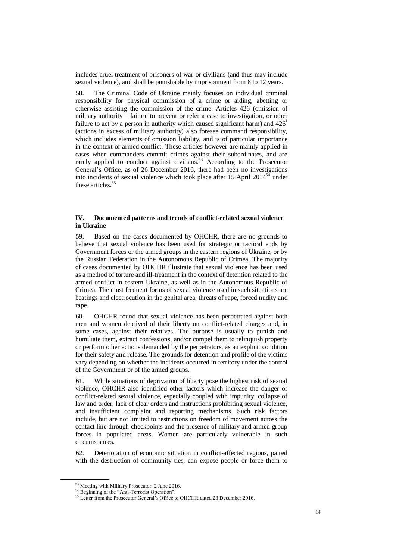includes cruel treatment of prisoners of war or civilians (and thus may include sexual violence), and shall be punishable by imprisonment from 8 to 12 years.

58. The Criminal Code of Ukraine mainly focuses on individual criminal responsibility for physical commission of a crime or aiding, abetting or otherwise assisting the commission of the crime. Articles 426 (omission of military authority – failure to prevent or refer a case to investigation, or other failure to act by a person in authority which caused significant harm) and  $426<sup>1</sup>$ (actions in excess of military authority) also foresee command responsibility, which includes elements of omission liability, and is of particular importance in the context of armed conflict. These articles however are mainly applied in cases when commanders commit crimes against their subordinates, and are rarely applied to conduct against civilians.<sup>53</sup> According to the Prosecutor General's Office, as of 26 December 2016, there had been no investigations into incidents of sexual violence which took place after 15 April  $2014<sup>54</sup>$  under these articles. $55$ 

## **IV. Documented patterns and trends of conflict-related sexual violence in Ukraine**

59. Based on the cases documented by OHCHR, there are no grounds to believe that sexual violence has been used for strategic or tactical ends by Government forces or the armed groups in the eastern regions of Ukraine, or by the Russian Federation in the Autonomous Republic of Crimea. The majority of cases documented by OHCHR illustrate that sexual violence has been used as a method of torture and ill-treatment in the context of detention related to the armed conflict in eastern Ukraine, as well as in the Autonomous Republic of Crimea. The most frequent forms of sexual violence used in such situations are beatings and electrocution in the genital area, threats of rape, forced nudity and rape.

60. OHCHR found that sexual violence has been perpetrated against both men and women deprived of their liberty on conflict-related charges and, in some cases, against their relatives. The purpose is usually to punish and humiliate them, extract confessions, and/or compel them to relinquish property or perform other actions demanded by the perpetrators, as an explicit condition for their safety and release. The grounds for detention and profile of the victims vary depending on whether the incidents occurred in territory under the control of the Government or of the armed groups.

61. While situations of deprivation of liberty pose the highest risk of sexual violence, OHCHR also identified other factors which increase the danger of conflict-related sexual violence, especially coupled with impunity, collapse of law and order, lack of clear orders and instructions prohibiting sexual violence, and insufficient complaint and reporting mechanisms. Such risk factors include, but are not limited to restrictions on freedom of movement across the contact line through checkpoints and the presence of military and armed group forces in populated areas. Women are particularly vulnerable in such circumstances.

62. Deterioration of economic situation in conflict-affected regions, paired with the destruction of community ties, can expose people or force them to

<sup>53</sup> Meeting with Military Prosecutor, 2 June 2016.

<sup>&</sup>lt;sup>54</sup> Beginning of the "Anti-Terrorist Operation".

<sup>&</sup>lt;sup>55</sup> Letter from the Prosecutor General's Office to OHCHR dated 23 December 2016.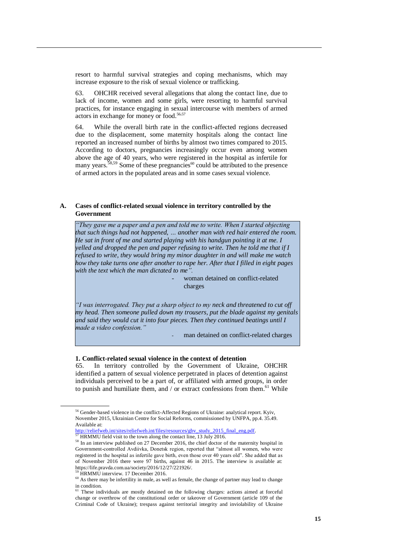resort to harmful survival strategies and coping mechanisms, which may increase exposure to the risk of sexual violence or trafficking.

63. OHCHR received several allegations that along the contact line, due to lack of income, women and some girls, were resorting to harmful survival practices, for instance engaging in sexual intercourse with members of armed actors in exchange for money or food. 56,57

64. While the overall birth rate in the conflict-affected regions decreased due to the displacement, some maternity hospitals along the contact line reported an increased number of births by almost two times compared to 2015. According to doctors, pregnancies increasingly occur even among women above the age of 40 years, who were registered in the hospital as infertile for many years.<sup>58,59</sup> Some of these pregnancies<sup>60</sup> could be attributed to the presence of armed actors in the populated areas and in some cases sexual violence.

## **A. Cases of conflict-related sexual violence in territory controlled by the Government**

*"They gave me a paper and a pen and told me to write. When I started objecting that such things had not happened, … another man with red hair entered the room. He sat in front of me and started playing with his handgun pointing it at me. I yelled and dropped the pen and paper refusing to write. Then he told me that if I refused to write, they would bring my minor daughter in and will make me watch how they take turns one after another to rape her. After that I filled in eight pages with the text which the man dictated to me".* 

> woman detained on conflict-related charges

*"I was interrogated. They put a sharp object to my neck and threatened to cut off my head. Then someone pulled down my trousers, put the blade against my genitals and said they would cut it into four pieces. Then they continued beatings until I made a video confession."* 

man detained on conflict-related charges

### **1. Conflict-related sexual violence in the context of detention**

65. In territory controlled by the Government of Ukraine, OHCHR identified a pattern of sexual violence perpetrated in places of detention against individuals perceived to be a part of, or affiliated with armed groups, in order to punish and humiliate them, and / or extract confessions from them.<sup>61</sup> While

<sup>56</sup> Gender-based violence in the conflict-Affected Regions of Ukraine: analytical report. Kyiv, November 2015, Ukrainian Centre for Social Reforms, commissioned by UNFPA, pp.4. 35.49. Available at:

[http://reliefweb.int/sites/reliefweb.int/files/resources/gbv\\_study\\_2015\\_final\\_eng.pdf.](http://reliefweb.int/sites/reliefweb.int/files/resources/gbv_study_2015_final_eng.pdf)<br>57 HPMMH field still:

<sup>57</sup> HRMMU field visit to the town along the contact line, 13 July 2016.

 $58$  In an interview published on 27 December 2016, the chief doctor of the maternity hospital in Government-controlled Avdiivka, Donetsk region, reported that "almost all women, who were registered in the hospital as infertile gave birth, even those over 40 years old". She added that as of November 2016 there were 97 births, against 46 in 2015. The interview is available at: https://life.pravda.com.ua/society/2016/12/27/221926/.

<sup>&</sup>lt;sup>59</sup> HRMMU interview. 17 December 2016.

 $60$  As there may be infertility in male, as well as female, the change of partner may lead to change in condition.

<sup>&</sup>lt;sup>61</sup> These individuals are mostly detained on the following charges: actions aimed at forceful change or overthrow of the constitutional order or takeover of Government (article 109 of the Criminal Code of Ukraine); trespass against territorial integrity and inviolability of Ukraine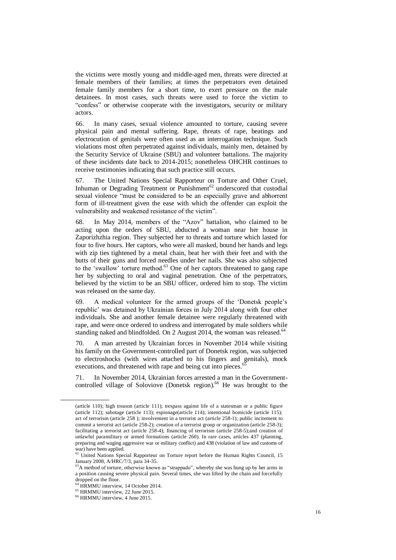the victims were mostly young and middle-aged men, threats were directed at female members of their families; at times the perpetrators even detained female family members for a short time, to exert pressure on the male detainees. In most cases, such threats were used to force the victim to "confess" or otherwise cooperate with the investigators, security or military actors.

66. In many cases, sexual violence amounted to torture, causing severe physical pain and mental suffering. Rape, threats of rape, beatings and electrocution of genitals were often used as an interrogation technique. Such violations most often perpetrated against individuals, mainly men, detained by the Security Service of Ukraine (SBU) and volunteer battalions. The majority of these incidents date back to 2014-2015; nonetheless OHCHR continues to receive testimonies indicating that such practice still occurs.

67. The United Nations Special Rapporteur on Torture and Other Cruel, Inhuman or Degrading Treatment or Punishment<sup>62</sup> underscored that custodial sexual violence "must be considered to be an especially grave and abhorrent form of ill-treatment given the ease with which the offender can exploit the vulnerability and weakened resistance of the victim".

68. In May 2014, members of the "Azov" battalion, who claimed to be acting upon the orders of SBU, abducted a woman near her house in Zaporizhzhia region. They subjected her to threats and torture which lasted for four to five hours. Her captors, who were all masked, bound her hands and legs with zip ties tightened by a metal chain, beat her with their feet and with the butts of their guns and forced needles under her nails. She was also subjected to the 'swallow' torture method. <sup>63</sup> One of her captors threatened to gang rape her by subjecting to oral and vaginal penetration. One of the perpetrators, believed by the victim to be an SBU officer, ordered him to stop. The victim was released on the same day.

69. A medical volunteer for the armed groups of the 'Donetsk people's republic' was detained by Ukrainian forces in July 2014 along with four other individuals. She and another female detainee were regularly threatened with rape, and were once ordered to undress and interrogated by male soldiers while standing naked and blindfolded. On 2 August 2014, the woman was released.<sup>64</sup>

70. A man arrested by Ukrainian forces in November 2014 while visiting his family on the Government-controlled part of Donetsk region, was subjected to electroshocks (with wires attached to his fingers and genitals), mock executions, and threatened with rape and being cut into pieces.

71. In November 2014, Ukrainian forces arrested a man in the Governmentcontrolled village of Soloviove (Donetsk region).<sup>66</sup> He was brought to the

<sup>(</sup>article 110); high treason (article 111); trespass against life of a statesman or a public figure (article 112); sabotage (article 113); espionage(article 114); intentional homicide (article 115); act of terrorism (article 258 ); involvement in a terrorist act (article 258-1); public incitement to commit a terrorist act (article 258-2); creation of a terrorist group or organization (article 258-3); facilitating a terrorist act (article 258-4); financing of terrorism (article 258-5);and creation of unlawful paramilitary or armed formations (article 260). In rare cases, articles 437 (planning, preparing and waging aggressive war or military conflict) and 438 (violation of law and customs of

war) have been applied.<br><sup>62</sup> United Nations Special Rapporteur on Torture report before the Human Rights Council, 15 January 2008, A/HRC/7/3, para 34-35.

<sup>&</sup>lt;sup>63</sup>A method of torture, otherwise known as "strappado", whereby she was hung up by her arms in a position causing severe physical pain. Several times, she was lifted by the chain and forcefully dropped on the floor.

<sup>&</sup>lt;sup>64</sup> HRMMU interview, 14 October 2014.

<sup>&</sup>lt;sup>65</sup> HRMMU interview, 22 June 2015.

<sup>66</sup> HRMMU interview, 4 June 2015.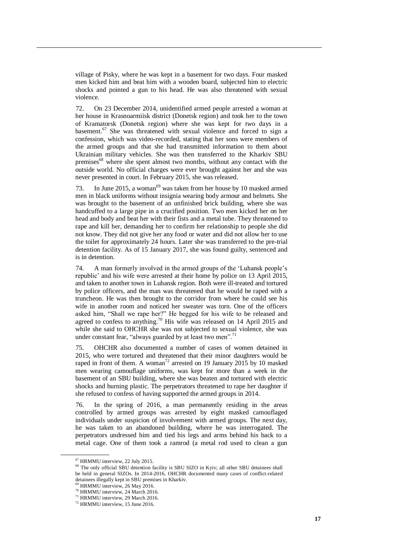village of Pisky, where he was kept in a basement for two days. Four masked men kicked him and beat him with a wooden board, subjected him to electric shocks and pointed a gun to his head. He was also threatened with sexual violence.

72. On 23 December 2014, unidentified armed people arrested a woman at her house in Krasnoarmiisk district (Donetsk region) and took her to the town of Kramatorsk (Donetsk region) where she was kept for two days in a basement.<sup>67</sup> She was threatened with sexual violence and forced to sign a confession, which was video-recorded, stating that her sons were members of the armed groups and that she had transmitted information to them about Ukrainian military vehicles. She was then transferred to the Kharkiv SBU premises<sup>68</sup> where she spent almost two months, without any contact with the outside world. No official charges were ever brought against her and she was never presented in court. In February 2015, she was released.

73. In June 2015, a woman<sup>69</sup> was taken from her house by 10 masked armed men in black uniforms without insignia wearing body armour and helmets. She was brought to the basement of an unfinished brick building, where she was handcuffed to a large pipe in a crucified position. Two men kicked her on her head and body and beat her with their fists and a metal tube. They threatened to rape and kill her, demanding her to confirm her relationship to people she did not know. They did not give her any food or water and did not allow her to use the toilet for approximately 24 hours. Later she was transferred to the pre-trial detention facility. As of 15 January 2017, she was found guilty, sentenced and is in detention.

74. A man formerly involved in the armed groups of the 'Luhansk people's republic' and his wife were arrested at their home by police on 13 April 2015, and taken to another town in Luhansk region. Both were ill-treated and tortured by police officers, and the man was threatened that he would be raped with a truncheon. He was then brought to the corridor from where he could see his wife in another room and noticed her sweater was torn. One of the officers asked him, "Shall we rape her?" He begged for his wife to be released and agreed to confess to anything.<sup>70</sup> His wife was released on 14 April 2015 and while she said to OHCHR she was not subjected to sexual violence, she was under constant fear, "always guarded by at least two men".<sup>7</sup>

75. OHCHR also documented a number of cases of women detained in 2015, who were tortured and threatened that their minor daughters would be raped in front of them. A woman<sup>72</sup> arrested on 19 January 2015 by 10 masked men wearing camouflage uniforms, was kept for more than a week in the basement of an SBU building, where she was beaten and tortured with electric shocks and burning plastic. The perpetrators threatened to rape her daughter if she refused to confess of having supported the armed groups in 2014.

76. In the spring of 2016, a man permanently residing in the areas controlled by armed groups was arrested by eight masked camouflaged individuals under suspicion of involvement with armed groups. The next day, he was taken to an abandoned building, where he was interrogated. The perpetrators undressed him and tied his legs and arms behind his back to a metal cage. One of them took a ramrod (a metal rod used to clean a gun

<sup>67</sup> HRMMU interview, 22 July 2015.

<sup>&</sup>lt;sup>68</sup> The only official SBU detention facility is SBU SIZO in Kyiv; all other SBU detainees shall be held in general SIZOs. In 2014-2016, OHCHR documented many cases of conflict-related detainees illegally kept in SBU premises in Kharkiv.

 $69$  HRMMU interview, 26 May 2016.

<sup>&</sup>lt;sup>70</sup> HRMMU interview, 24 March 2016.

<sup>&</sup>lt;sup>71</sup> HRMMU interview, 29 March 2016.

<sup>72</sup> HRMMU interview, 15 June 2016.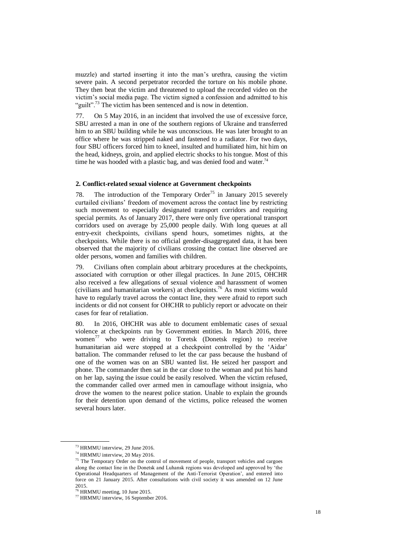muzzle) and started inserting it into the man's urethra, causing the victim severe pain. A second perpetrator recorded the torture on his mobile phone. They then beat the victim and threatened to upload the recorded video on the victim's social media page. The victim signed a confession and admitted to his "guilt".<sup>73</sup> The victim has been sentenced and is now in detention.

77. On 5 May 2016, in an incident that involved the use of excessive force, SBU arrested a man in one of the southern regions of Ukraine and transferred him to an SBU building while he was unconscious. He was later brought to an office where he was stripped naked and fastened to a radiator. For two days, four SBU officers forced him to kneel, insulted and humiliated him, hit him on the head, kidneys, groin, and applied electric shocks to his tongue. Most of this time he was hooded with a plastic bag, and was denied food and water.<sup>74</sup>

### **2. Conflict-related sexual violence at Government checkpoints**

78. The introduction of the Temporary Order<sup>75</sup> in January 2015 severely curtailed civilians' freedom of movement across the contact line by restricting such movement to especially designated transport corridors and requiring special permits. As of January 2017, there were only five operational transport corridors used on average by 25,000 people daily. With long queues at all entry-exit checkpoints, civilians spend hours, sometimes nights, at the checkpoints. While there is no official gender-disaggregated data, it has been observed that the majority of civilians crossing the contact line observed are older persons, women and families with children.

79. Civilians often complain about arbitrary procedures at the checkpoints, associated with corruption or other illegal practices. In June 2015, OHCHR also received a few allegations of sexual violence and harassment of women (civilians and humanitarian workers) at checkpoints.<sup>76</sup> As most victims would have to regularly travel across the contact line, they were afraid to report such incidents or did not consent for OHCHR to publicly report or advocate on their cases for fear of retaliation.

80. In 2016, OHCHR was able to document emblematic cases of sexual violence at checkpoints run by Government entities. In March 2016, three women<sup>77</sup> who were driving to Toretsk (Donetsk region) to receive humanitarian aid were stopped at a checkpoint controlled by the 'Aidar' battalion. The commander refused to let the car pass because the husband of one of the women was on an SBU wanted list. He seized her passport and phone. The commander then sat in the car close to the woman and put his hand on her lap, saying the issue could be easily resolved. When the victim refused, the commander called over armed men in camouflage without insignia, who drove the women to the nearest police station. Unable to explain the grounds for their detention upon demand of the victims, police released the women several hours later.

<sup>73</sup> HRMMU interview, 29 June 2016.

<sup>74</sup> HRMMU interview, 20 May 2016.

<sup>&</sup>lt;sup>75</sup> The Temporary Order on the control of movement of people, transport vehicles and cargoes along the contact line in the Donetsk and Luhansk regions was developed and approved by 'the Operational Headquarters of Management of the Anti-Terrorist Operation', and entered into force on 21 January 2015. After consultations with civil society it was amended on 12 June 2015.

<sup>76</sup> HRMMU meeting, 10 June 2015.

<sup>77</sup> HRMMU interview, 16 September 2016.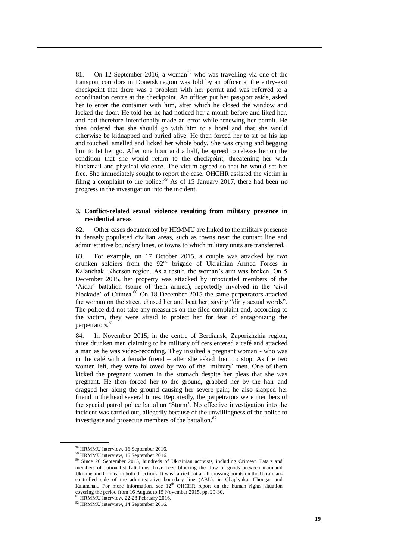81. On 12 September 2016, a woman<sup>78</sup> who was travelling via one of the transport corridors in Donetsk region was told by an officer at the entry-exit checkpoint that there was a problem with her permit and was referred to a coordination centre at the checkpoint. An officer put her passport aside, asked her to enter the container with him, after which he closed the window and locked the door. He told her he had noticed her a month before and liked her, and had therefore intentionally made an error while renewing her permit. He then ordered that she should go with him to a hotel and that she would otherwise be kidnapped and buried alive. He then forced her to sit on his lap and touched, smelled and licked her whole body. She was crying and begging him to let her go. After one hour and a half, he agreed to release her on the condition that she would return to the checkpoint, threatening her with blackmail and physical violence. The victim agreed so that he would set her free. She immediately sought to report the case. OHCHR assisted the victim in filing a complaint to the police.<sup>79</sup> As of 15 January 2017, there had been no progress in the investigation into the incident.

## **3. Conflict-related sexual violence resulting from military presence in residential areas**

82. Other cases documented by HRMMU are linked to the military presence in densely populated civilian areas, such as towns near the contact line and administrative boundary lines, or towns to which military units are transferred.

83. For example, on 17 October 2015, a couple was attacked by two drunken soldiers from the 92<sup>nd</sup> brigade of Ukrainian Armed Forces in Kalanchak, Kherson region. As a result, the woman's arm was broken. On 5 December 2015, her property was attacked by intoxicated members of the 'Aidar' battalion (some of them armed), reportedly involved in the 'civil blockade' of Crimea.<sup>80</sup> On 18 December 2015 the same perpetrators attacked the woman on the street, chased her and beat her, saying "dirty sexual words". The police did not take any measures on the filed complaint and, according to the victim, they were afraid to protect her for fear of antagonizing the perpetrators.<sup>8</sup>

84. In November 2015, in the centre of Berdiansk, Zaporizhzhia region, three drunken men claiming to be military officers entered a café and attacked a man as he was video-recording. They insulted a pregnant woman - who was in the café with a female friend – after she asked them to stop. As the two women left, they were followed by two of the 'military' men. One of them kicked the pregnant women in the stomach despite her pleas that she was pregnant. He then forced her to the ground, grabbed her by the hair and dragged her along the ground causing her severe pain; he also slapped her friend in the head several times. Reportedly, the perpetrators were members of the special patrol police battalion 'Storm'. No effective investigation into the incident was carried out, allegedly because of the unwillingness of the police to investigate and prosecute members of the battalion.<sup>82</sup>

<sup>78</sup> HRMMU interview, 16 September 2016.

<sup>79</sup> HRMMU interview, 16 September 2016.

<sup>80</sup> Since 20 September 2015, hundreds of Ukrainian activists, including Crimean Tatars and members of nationalist battalions, have been blocking the flow of goods between mainland Ukraine and Crimea in both directions. It was carried out at all crossing points on the Ukrainiancontrolled side of the administrative boundary line (ABL): in Chaplynka, Chongar and Kalanchak. For more information, see  $12<sup>th</sup>$  OHCHR report on the human rights situation covering the period from 16 August to 15 November 2015, pp. 29-30.<br><sup>81</sup> HRMMU interview, 22-28 February 2016.

<sup>82</sup> HRMMU interview, 14 September 2016.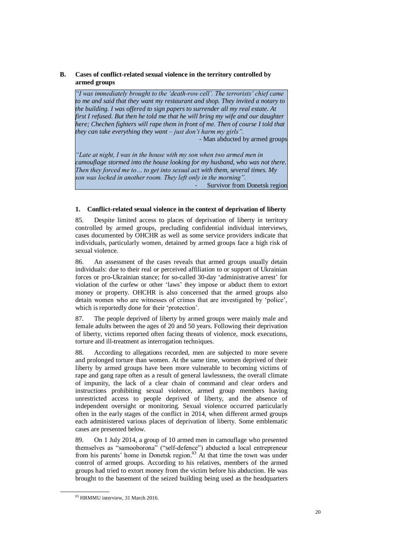# **B. Cases of conflict-related sexual violence in the territory controlled by armed groups**

*"I was immediately brought to the 'death-row cell'. The terrorists' chief came*  to me and said that they want my restaurant and shop. They invited a notary to *the building. I was offered to sign papers to surrender all my real estate. At first I refused. But then he told me that he will bring my wife and our daughter here; Chechen fighters will rape them in front of me. Then of course I told that they can take everything they want – just don't harm my girls".* 

*-* Man abducted by armed groups

*"Late at night, I was in the house with my son when two armed men in camouflage stormed into the house looking for my husband, who was not there. Then they forced me to… to get into sexual act with them, several times. My son was locked in another room. They left only in the morning".*

Survivor from Donetsk region

# **1. Conflict-related sexual violence in the context of deprivation of liberty**

85. Despite limited access to places of deprivation of liberty in territory controlled by armed groups, precluding confidential individual interviews, cases documented by OHCHR as well as some service providers indicate that individuals, particularly women, detained by armed groups face a high risk of sexual violence.

86. An assessment of the cases reveals that armed groups usually detain individuals: due to their real or perceived affiliation to or support of Ukrainian forces or pro-Ukrainian stance; for so-called 30-day 'administrative arrest' for violation of the curfew or other 'laws' they impose or abduct them to extort money or property. OHCHR is also concerned that the armed groups also detain women who are witnesses of crimes that are investigated by 'police', which is reportedly done for their 'protection'.

87. The people deprived of liberty by armed groups were mainly male and female adults between the ages of 20 and 50 years. Following their deprivation of liberty, victims reported often facing threats of violence, mock executions, torture and ill-treatment as interrogation techniques.

88. According to allegations recorded, men are subjected to more severe and prolonged torture than women. At the same time, women deprived of their liberty by armed groups have been more vulnerable to becoming victims of rape and gang rape often as a result of general lawlessness, the overall climate of impunity, the lack of a clear chain of command and clear orders and instructions prohibiting sexual violence, armed group members having unrestricted access to people deprived of liberty, and the absence of independent oversight or monitoring. Sexual violence occurred particularly often in the early stages of the conflict in 2014, when different armed groups each administered various places of deprivation of liberty. Some emblematic cases are presented below.

89. On 1 July 2014, a group of 10 armed men in camouflage who presented themselves as "samooborona" ("self-defence") abducted a local entrepreneur from his parents' home in Donetsk region.<sup>83</sup> At that time the town was under control of armed groups. According to his relatives, members of the armed groups had tried to extort money from the victim before his abduction. He was brought to the basement of the seized building being used as the headquarters

<sup>83</sup> HRMMU interview, 31 March 2016.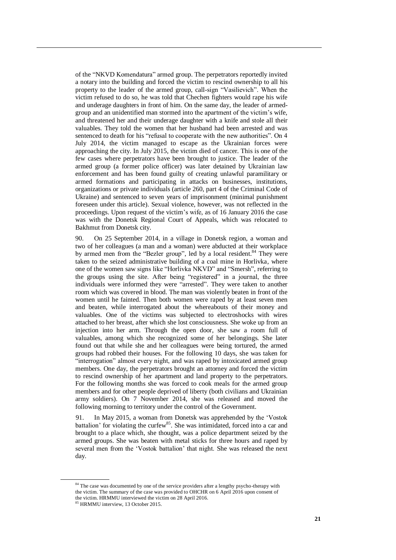of the "NKVD Komendatura" armed group. The perpetrators reportedly invited a notary into the building and forced the victim to rescind ownership to all his property to the leader of the armed group, call-sign "Vasilievich". When the victim refused to do so, he was told that Chechen fighters would rape his wife and underage daughters in front of him. On the same day, the leader of armedgroup and an unidentified man stormed into the apartment of the victim's wife, and threatened her and their underage daughter with a knife and stole all their valuables. They told the women that her husband had been arrested and was sentenced to death for his "refusal to cooperate with the new authorities". On 4 July 2014, the victim managed to escape as the Ukrainian forces were approaching the city. In July 2015, the victim died of cancer. This is one of the few cases where perpetrators have been brought to justice. The leader of the armed group (a former police officer) was later detained by Ukrainian law enforcement and has been found guilty of creating unlawful paramilitary or armed formations and participating in attacks on businesses, institutions, organizations or private individuals (article 260, part 4 of the Criminal Code of Ukraine) and sentenced to seven years of imprisonment (minimal punishment foreseen under this article). Sexual violence, however, was not reflected in the proceedings. Upon request of the victim's wife, as of 16 January 2016 the case was with the Donetsk Regional Court of Appeals, which was relocated to Bakhmut from Donetsk city.

90. On 25 September 2014, in a village in Donetsk region, a woman and two of her colleagues (a man and a woman) were abducted at their workplace by armed men from the "Bezler group", led by a local resident.<sup>84</sup> They were taken to the seized administrative building of a coal mine in Horlivka, where one of the women saw signs like "Horlivka NKVD" and "Smersh", referring to the groups using the site. After being "registered" in a journal, the three individuals were informed they were "arrested". They were taken to another room which was covered in blood. The man was violently beaten in front of the women until he fainted. Then both women were raped by at least seven men and beaten, while interrogated about the whereabouts of their money and valuables. One of the victims was subjected to electroshocks with wires attached to her breast, after which she lost consciousness. She woke up from an injection into her arm. Through the open door, she saw a room full of valuables, among which she recognized some of her belongings. She later found out that while she and her colleagues were being tortured, the armed groups had robbed their houses. For the following 10 days, she was taken for "interrogation" almost every night, and was raped by intoxicated armed group members. One day, the perpetrators brought an attorney and forced the victim to rescind ownership of her apartment and land property to the perpetrators. For the following months she was forced to cook meals for the armed group members and for other people deprived of liberty (both civilians and Ukrainian army soldiers). On 7 November 2014, she was released and moved the following morning to territory under the control of the Government.

91. In May 2015, a woman from Donetsk was apprehended by the 'Vostok battalion' for violating the curfew<sup>85</sup>. She was intimidated, forced into a car and brought to a place which, she thought, was a police department seized by the armed groups. She was beaten with metal sticks for three hours and raped by several men from the 'Vostok battalion' that night. She was released the next day.

<sup>&</sup>lt;sup>84</sup> The case was documented by one of the service providers after a lengthy psycho-therapy with the victim. The summary of the case was provided to OHCHR on 6 April 2016 upon consent of the victim. HRMMU interviewed the victim on 28 April 2016.

<sup>85</sup> HRMMU interview, 13 October 2015.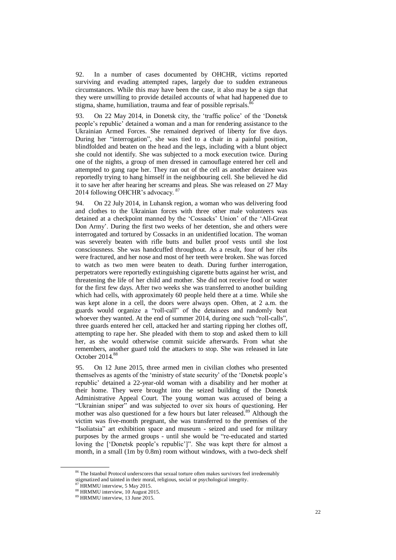92. In a number of cases documented by OHCHR, victims reported surviving and evading attempted rapes, largely due to sudden extraneous circumstances. While this may have been the case, it also may be a sign that they were unwilling to provide detailed accounts of what had happened due to stigma, shame, humiliation, trauma and fear of possible reprisals.<sup>86</sup>

93. On 22 May 2014, in Donetsk city, the 'traffic police' of the 'Donetsk people's republic' detained a woman and a man for rendering assistance to the Ukrainian Armed Forces. She remained deprived of liberty for five days. During her "interrogation", she was tied to a chair in a painful position, blindfolded and beaten on the head and the legs, including with a blunt object she could not identify. She was subjected to a mock execution twice. During one of the nights, a group of men dressed in camouflage entered her cell and attempted to gang rape her. They ran out of the cell as another detainee was reportedly trying to hang himself in the neighbouring cell. She believed he did it to save her after hearing her screams and pleas. She was released on 27 May 2014 following OHCHR's advocacy. 87

94. On 22 July 2014, in Luhansk region, a woman who was delivering food and clothes to the Ukrainian forces with three other male volunteers was detained at a checkpoint manned by the 'Cossacks' Union' of the 'All-Great Don Army'. During the first two weeks of her detention, she and others were interrogated and tortured by Cossacks in an unidentified location. The woman was severely beaten with rifle butts and bullet proof vests until she lost consciousness. She was handcuffed throughout. As a result, four of her ribs were fractured, and her nose and most of her teeth were broken. She was forced to watch as two men were beaten to death. During further interrogation, perpetrators were reportedly extinguishing cigarette butts against her wrist, and threatening the life of her child and mother. She did not receive food or water for the first few days. After two weeks she was transferred to another building which had cells, with approximately 60 people held there at a time. While she was kept alone in a cell, the doors were always open. Often, at 2 a.m. the guards would organize a "roll-call" of the detainees and randomly beat whoever they wanted. At the end of summer 2014, during one such "roll-calls", three guards entered her cell, attacked her and starting ripping her clothes off, attempting to rape her. She pleaded with them to stop and asked them to kill her, as she would otherwise commit suicide afterwards. From what she remembers, another guard told the attackers to stop. She was released in late October 2014.<sup>88</sup>

95. On 12 June 2015, three armed men in civilian clothes who presented themselves as agents of the 'ministry of state security' of the 'Donetsk people's republic' detained a 22-year-old woman with a disability and her mother at their home. They were brought into the seized building of the Donetsk Administrative Appeal Court. The young woman was accused of being a "Ukrainian sniper" and was subjected to over six hours of questioning. Her mother was also questioned for a few hours but later released.<sup>89</sup> Although the victim was five-month pregnant, she was transferred to the premises of the "Isoliatsia" art exhibition space and museum - seized and used for military purposes by the armed groups - until she would be "re-educated and started loving the ['Donetsk people's republic']". She was kept there for almost a month, in a small (1m by 0.8m) room without windows, with a two-deck shelf

<sup>&</sup>lt;sup>86</sup> The Istanbul Protocol underscores that sexual torture often makes survivors feel irredeemably stigmatized and tainted in their moral, religious, social or psychological integrity.

HRMMU interview, 5 May 2015.

<sup>88</sup> HRMMU interview, 10 August 2015.

<sup>89</sup> HRMMU interview, 13 June 2015.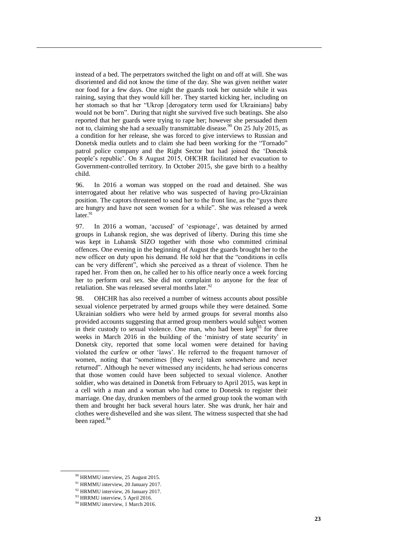instead of a bed. The perpetrators switched the light on and off at will. She was disoriented and did not know the time of the day. She was given neither water nor food for a few days. One night the guards took her outside while it was raining, saying that they would kill her. They started kicking her, including on her stomach so that her "Ukrop [derogatory term used for Ukrainians] baby would not be born". During that night she survived five such beatings. She also reported that her guards were trying to rape her; however she persuaded them not to, claiming she had a sexually transmittable disease.<sup>90</sup> On 25 July 2015, as a condition for her release, she was forced to give interviews to Russian and Donetsk media outlets and to claim she had been working for the "Tornado" patrol police company and the Right Sector but had joined the 'Donetsk people's republic'. On 8 August 2015, OHCHR facilitated her evacuation to Government-controlled territory. In October 2015, she gave birth to a healthy child.

96. In 2016 a woman was stopped on the road and detained. She was interrogated about her relative who was suspected of having pro-Ukrainian position. The captors threatened to send her to the front line, as the "guys there are hungry and have not seen women for a while". She was released a week  $later.<sup>91</sup>$ 

97. In 2016 a woman, 'accused' of 'espionage', was detained by armed groups in Luhansk region, she was deprived of liberty. During this time she was kept in Luhansk SIZO together with those who committed criminal offences. One evening in the beginning of August the guards brought her to the new officer on duty upon his demand. He told her that the "conditions in cells can be very different", which she perceived as a threat of violence. Then he raped her. From then on, he called her to his office nearly once a week forcing her to perform oral sex. She did not complaint to anyone for the fear of retaliation. She was released several months later.<sup>92</sup>

98. OHCHR has also received a number of witness accounts about possible sexual violence perpetrated by armed groups while they were detained. Some Ukrainian soldiers who were held by armed groups for several months also provided accounts suggesting that armed group members would subject women in their custody to sexual violence. One man, who had been kept<sup>93</sup> for three weeks in March 2016 in the building of the 'ministry of state security' in Donetsk city, reported that some local women were detained for having violated the curfew or other 'laws'. He referred to the frequent turnover of women, noting that "sometimes [they were] taken somewhere and never returned". Although he never witnessed any incidents, he had serious concerns that those women could have been subjected to sexual violence. Another soldier, who was detained in Donetsk from February to April 2015, was kept in a cell with a man and a woman who had come to Donetsk to register their marriage. One day, drunken members of the armed group took the woman with them and brought her back several hours later. She was drunk, her hair and clothes were dishevelled and she was silent. The witness suspected that she had been raped.<sup>94</sup>

<sup>90</sup> HRMMU interview, 25 August 2015.

<sup>91</sup> HRMMU interview, 20 January 2017.

<sup>92</sup> HRMMU interview, 26 January 2017.

<sup>93</sup> HRRMU interview, 5 April 2016.

<sup>&</sup>lt;sup>94</sup> HRMMU interview, 1 March 2016.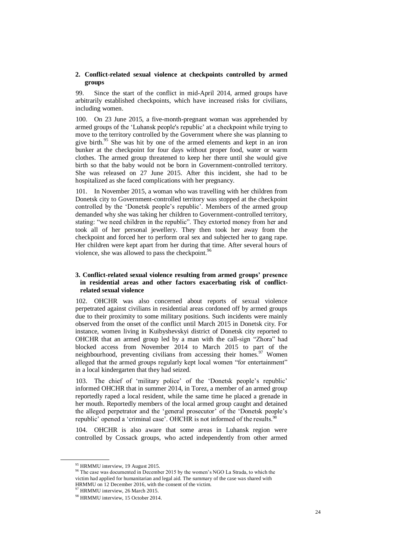## **2. Conflict-related sexual violence at checkpoints controlled by armed groups**

99. Since the start of the conflict in mid-April 2014, armed groups have arbitrarily established checkpoints, which have increased risks for civilians, including women.

100. On 23 June 2015, a five-month-pregnant woman was apprehended by armed groups of the 'Luhansk people's republic' at a checkpoint while trying to move to the territory controlled by the Government where she was planning to give birth.<sup>95</sup> She was hit by one of the armed elements and kept in an iron bunker at the checkpoint for four days without proper food, water or warm clothes. The armed group threatened to keep her there until she would give birth so that the baby would not be born in Government-controlled territory. She was released on 27 June 2015. After this incident, she had to be hospitalized as she faced complications with her pregnancy.

101. In November 2015, a woman who was travelling with her children from Donetsk city to Government-controlled territory was stopped at the checkpoint controlled by the 'Donetsk people's republic'. Members of the armed group demanded why she was taking her children to Government-controlled territory, stating: "we need children in the republic". They extorted money from her and took all of her personal jewellery. They then took her away from the checkpoint and forced her to perform oral sex and subjected her to gang rape. Her children were kept apart from her during that time. After several hours of violence, she was allowed to pass the checkpoint.<sup>96</sup>

# **3. Conflict-related sexual violence resulting from armed groups' presence in residential areas and other factors exacerbating risk of conflictrelated sexual violence**

102. OHCHR was also concerned about reports of sexual violence perpetrated against civilians in residential areas cordoned off by armed groups due to their proximity to some military positions. Such incidents were mainly observed from the onset of the conflict until March 2015 in Donetsk city. For instance, women living in Kuibyshevskyi district of Donetsk city reported to OHCHR that an armed group led by a man with the call-sign "Zhora" had blocked access from November 2014 to March 2015 to part of the neighbourhood, preventing civilians from accessing their homes.<sup>97</sup> Women alleged that the armed groups regularly kept local women "for entertainment" in a local kindergarten that they had seized.

103. The chief of 'military police' of the 'Donetsk people's republic' informed OHCHR that in summer 2014, in Torez, a member of an armed group reportedly raped a local resident, while the same time he placed a grenade in her mouth. Reportedly members of the local armed group caught and detained the alleged perpetrator and the 'general prosecutor' of the 'Donetsk people's republic' opened a 'criminal case'. OHCHR is not informed of the results.<sup>98</sup>

104. OHCHR is also aware that some areas in Luhansk region were controlled by Cossack groups, who acted independently from other armed

<sup>95</sup> HRMMU interview, 19 August 2015.

<sup>&</sup>lt;sup>96</sup> The case was documented in December 2015 by the women's NGO La Strada, to which the victim had applied for humanitarian and legal aid. The summary of the case was shared with HRMMU on 12 December 2016, with the consent of the victim.

<sup>97</sup> HRMMU interview, 26 March 2015.

<sup>98</sup> HRMMU interview, 15 October 2014.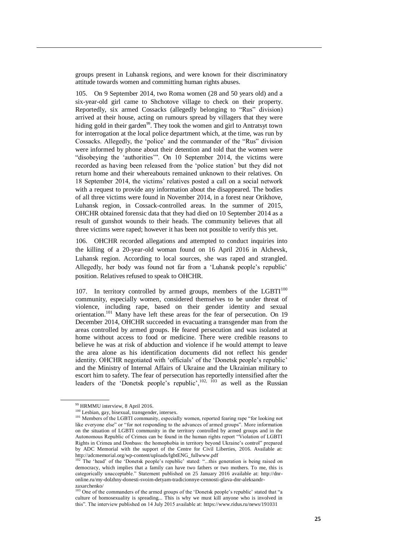groups present in Luhansk regions, and were known for their discriminatory attitude towards women and committing human rights abuses.

105. On 9 September 2014, two Roma women (28 and 50 years old) and a six-year-old girl came to Shchotove village to check on their property. Reportedly, six armed Cossacks (allegedly belonging to "Rus" division) arrived at their house, acting on rumours spread by villagers that they were hiding gold in their garden<sup>99</sup>. They took the women and girl to Antratsyt town for interrogation at the local police department which, at the time, was run by Cossacks. Allegedly, the 'police' and the commander of the "Rus" division were informed by phone about their detention and told that the women were "disobeying the 'authorities'". On 10 September 2014, the victims were recorded as having been released from the 'police station' but they did not return home and their whereabouts remained unknown to their relatives. On 18 September 2014, the victims' relatives posted a call on a social network with a request to provide any information about the disappeared. The bodies of all three victims were found in November 2014, in a forest near Orikhove, Luhansk region, in Cossack-controlled areas. In the summer of 2015, OHCHR obtained forensic data that they had died on 10 September 2014 as a result of gunshot wounds to their heads. The community believes that all three victims were raped; however it has been not possible to verify this yet.

106. OHCHR recorded allegations and attempted to conduct inquiries into the killing of a 20-year-old woman found on 16 April 2016 in Alchevsk, Luhansk region. According to local sources, she was raped and strangled. Allegedly, her body was found not far from a 'Luhansk people's republic' position. Relatives refused to speak to OHCHR.

107. In territory controlled by armed groups, members of the LGBT $I^{100}$ community, especially women, considered themselves to be under threat of violence, including rape, based on their gender identity and sexual orientation.<sup>101</sup> Many have left these areas for the fear of persecution. On 19 December 2014, OHCHR succeeded in evacuating a transgender man from the areas controlled by armed groups. He feared persecution and was isolated at home without access to food or medicine. There were credible reasons to believe he was at risk of abduction and violence if he would attempt to leave the area alone as his identification documents did not reflect his gender identity. OHCHR negotiated with 'officials' of the 'Donetsk people's republic' and the Ministry of Internal Affairs of Ukraine and the Ukrainian military to escort him to safety. The fear of persecution has reportedly intensified after the leaders of the 'Donetsk people's republic',  $^{102}$ ,  $^{103}$  as well as the Russian

<sup>99</sup> HRMMU interview, 8 April 2016.

<sup>100</sup> Lesbian, gay, bisexual, transgender, intersex.

<sup>&</sup>lt;sup>101</sup> Members of the LGBTI community, especially women, reported fearing rape "for looking not like everyone else" or "for not responding to the advances of armed groups". More information on the situation of LGBTI community in the territory controlled by armed groups and in the Autonomous Republic of Crimea can be found in the human rights report "Violation of LGBTI Rights in Crimea and Donbass: the homophobia in territory beyond Ukraine's control" prepared by ADC Memorial with the support of the Centre for Civil Liberties, 2016. Available at: http://adcmemorial.org/wp-content/uploads/lgbtENG\_fullwww.pdf

<sup>&</sup>lt;sup>102</sup> The 'head' of the 'Donetsk people's republic' stated: "...this generation is being raised on democracy, which implies that a family can have two fathers or two mothers. To me, this is categorically unacceptable." Statement published on 25 January 2016 available at: http://dnronline.ru/my-dolzhny-donesti-svoim-detyam-tradicionnye-cennosti-glava-dnr-aleksandr-

zaxarchenko/ <sup>103</sup> One of the commanders of the armed groups of the 'Donetsk people's republic' stated that "a culture of homosexuality is spreading... This is why we must kill anyone who is involved in this". The interview published on 14 July 2015 available at: https://www.ridus.ru/news/191031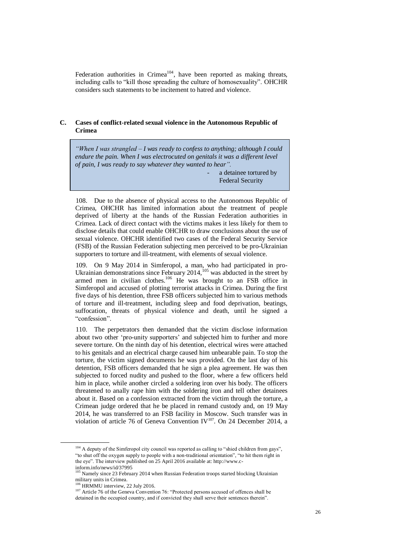Federation authorities in Crimea<sup>104</sup>, have been reported as making threats, including calls to "kill those spreading the culture of homosexuality". OHCHR considers such statements to be incitement to hatred and violence.

# **C. Cases of conflict-related sexual violence in the Autonomous Republic of Crimea**

*"When I was strangled – I was ready to confess to anything; although I could endure the pain. When I was electrocuted on genitals it was a different level of pain, I was ready to say whatever they wanted to hear".*

> a detainee tortured by Federal Security Service in Crimea

108. Due to the absence of physical access to the Autonomous Republic of Crimea, OHCHR has limited information about the treatment of people deprived of liberty at the hands of the Russian Federation authorities in Crimea. Lack of direct contact with the victims makes it less likely for them to disclose details that could enable OHCHR to draw conclusions about the use of sexual violence. OHCHR identified two cases of the Federal Security Service (FSB) of the Russian Federation subjecting men perceived to be pro-Ukrainian supporters to torture and ill-treatment, with elements of sexual violence.

109. On 9 May 2014 in Simferopol, a man, who had participated in pro-Ukrainian demonstrations since February  $2014$ ,  $^{105}$  was abducted in the street by armed men in civilian clothes.<sup>106</sup> He was brought to an FSB office in Simferopol and accused of plotting terrorist attacks in Crimea. During the first five days of his detention, three FSB officers subjected him to various methods of torture and ill-treatment, including sleep and food deprivation, beatings, suffocation, threats of physical violence and death, until he signed a "confession".

110. The perpetrators then demanded that the victim disclose information about two other 'pro-unity supporters' and subjected him to further and more severe torture. On the ninth day of his detention, electrical wires were attached to his genitals and an electrical charge caused him unbearable pain. To stop the torture, the victim signed documents he was provided. On the last day of his detention, FSB officers demanded that he sign a plea agreement. He was then subjected to forced nudity and pushed to the floor, where a few officers held him in place, while another circled a soldering iron over his body. The officers threatened to anally rape him with the soldering iron and tell other detainees about it. Based on a confession extracted from the victim through the torture, a Crimean judge ordered that he be placed in remand custody and, on 19 May 2014, he was transferred to an FSB facility in Moscow. Such transfer was in violation of article 76 of Geneva Convention IV<sup>107</sup>. On 24 December 2014, a

<sup>&</sup>lt;sup>104</sup> A deputy of the Simferopol city council was reported as calling to "shied children from gays", "to shut off the oxygen supply to people with a non-traditional orientation", "to hit them right in the eye". The interview published on 25 April 2016 available at: http://www.c-

inform.info/news/id/37995

<sup>105</sup> Namely since 23 February 2014 when Russian Federation troops started blocking Ukrainian military units in Crimea.

<sup>106</sup> HRMMU interview, 22 July 2016.

<sup>107</sup> Article 76 of the Geneva Convention 76: "Protected persons accused of offences shall be detained in the occupied country, and if convicted they shall serve their sentences therein".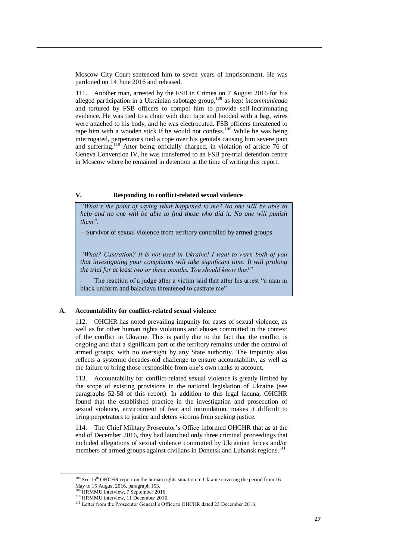Moscow City Court sentenced him to seven years of imprisonment. He was pardoned on 14 June 2016 and released.

111. Another man, arrested by the FSB in Crimea on 7 August 2016 for his alleged participation in a Ukrainian sabotage group, <sup>108</sup> as kept *incommunicado* and tortured by FSB officers to compel him to provide self-incriminating evidence. He was tied to a chair with duct tape and hooded with a bag, wires were attached to his body, and he was electrocuted. FSB officers threatened to rape him with a wooden stick if he would not confess.<sup>109</sup> While he was being interrogated, perpetrators tied a rope over his genitals causing him severe pain and suffering.<sup>110</sup> After being officially charged, in violation of article 76 of Geneva Convention IV, he was transferred to an FSB pre-trial detention centre in Moscow where he remained in detention at the time of writing this report.

## **V. Responding to conflict-related sexual violence**

*"What's the point of saying what happened to me? No one will be able to help and no one will be able to find those who did it. No one will punish them".*

- Survivor of sexual violence from territory controlled by armed groups

*"What? Castration? It is not used in Ukraine! I want to warn both of you that investigating your complaints will take significant time. It will prolong the trial for at least two or three months. You should know this!"* 

The reaction of a judge after a victim said that after his arrest "a man in black uniform and balaclava threatened to castrate me"

### **A. Accountability for conflict-related sexual violence**

112. OHCHR has noted prevailing impunity for cases of sexual violence, as well as for other human rights violations and abuses committed in the context of the conflict in Ukraine. This is partly due to the fact that the conflict is ongoing and that a significant part of the territory remains under the control of armed groups, with no oversight by any State authority. The impunity also reflects a systemic decades-old challenge to ensure accountability, as well as the failure to bring those responsible from one's own ranks to account.

113. Accountability for conflict-related sexual violence is greatly limited by the scope of existing provisions in the national legislation of Ukraine (see paragraphs 52-58 of this report). In addition to this legal lacuna, OHCHR found that the established practice in the investigation and prosecution of sexual violence, environment of fear and intimidation, makes it difficult to bring perpetrators to justice and deters victims from seeking justice.

114. The Chief Military Prosecutor's Office informed OHCHR that as at the end of December 2016, they had launched only three criminal proceedings that included allegations of sexual violence committed by Ukrainian forces and/or members of armed groups against civilians in Donetsk and Luhansk regions.<sup>111</sup>

 $108$  See 15<sup>th</sup> OHCHR report on the human rights situation in Ukraine covering the period from 16 May to 15 August 2016, paragraph 153.

 $\overrightarrow{H}$  HRMMU interview, 7 September 2016.

<sup>&</sup>lt;sup>110</sup> HRMMU interview, 11 December 2016.

<sup>&</sup>lt;sup>111</sup> Letter from the Prosecutor General's Office to OHCHR dated 23 December 2016.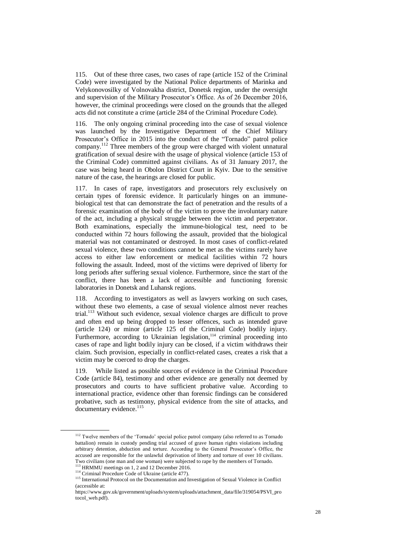115. Out of these three cases, two cases of rape (article 152 of the Criminal Code) were investigated by the National Police departments of Marinka and Velykonovosilky of Volnovakha district, Donetsk region, under the oversight and supervision of the Military Prosecutor's Office. As of 26 December 2016, however, the criminal proceedings were closed on the grounds that the alleged acts did not constitute a crime (article 284 of the Criminal Procedure Code).

116. The only ongoing criminal proceeding into the case of sexual violence was launched by the Investigative Department of the Chief Military Prosecutor's Office in 2015 into the conduct of the "Tornado" patrol police company.<sup>112</sup> Three members of the group were charged with violent unnatural gratification of sexual desire with the usage of physical violence (article 153 of the Criminal Code) committed against civilians. As of 31 January 2017, the case was being heard in Obolon District Court in Kyiv. Due to the sensitive nature of the case, the hearings are closed for public.

117. In cases of rape, investigators and prosecutors rely exclusively on certain types of forensic evidence. It particularly hinges on an immunebiological test that can demonstrate the fact of penetration and the results of a forensic examination of the body of the victim to prove the involuntary nature of the act, including a physical struggle between the victim and perpetrator. Both examinations, especially the immune-biological test, need to be conducted within 72 hours following the assault, provided that the biological material was not contaminated or destroyed. In most cases of conflict-related sexual violence, these two conditions cannot be met as the victims rarely have access to either law enforcement or medical facilities within 72 hours following the assault. Indeed, most of the victims were deprived of liberty for long periods after suffering sexual violence. Furthermore, since the start of the conflict, there has been a lack of accessible and functioning forensic laboratories in Donetsk and Luhansk regions.

118. According to investigators as well as lawyers working on such cases, without these two elements, a case of sexual violence almost never reaches trial.<sup>113</sup> Without such evidence, sexual violence charges are difficult to prove [and often end up being dropped](http://www.cbc.ca/news/canada/nova-scotia/human-trafficking-convictions-challenging-1.3397669) to lesser offences, such as intended grave (article 124) or minor (article 125 of the Criminal Code) bodily injury. Furthermore, according to Ukrainian legislation,<sup>114</sup> criminal proceeding into cases of rape and light bodily injury can be closed, if a victim withdraws their claim. Such provision, especially in conflict-related cases, creates a risk that a victim may be coerced to drop the charges.

119. While listed as possible sources of evidence in the Criminal Procedure Code (article 84), testimony and other evidence are generally not deemed by prosecutors and courts to have sufficient probative value. According to international practice, evidence other than forensic findings can be considered probative, such as testimony, physical evidence from the site of attacks, and documentary evidence.<sup>115</sup>

<sup>&</sup>lt;sup>112</sup> Twelve members of the 'Tornado' special police patrol company (also referred to as Tornado battalion) remain in custody pending trial accused of grave human rights violations including arbitrary detention, abduction and torture. According to the General Prosecutor's Office, the accused are responsible for the unlawful deprivation of liberty and torture of over 10 civilians. Two civilians (one man and one woman) were subjected to rape by the members of Tornado.<br>
The civilians (one man and one woman) were subjected to rape by the members of Tornado.

 $3$  HRMMU meetings on 1, 2 and 12 December 2016. <sup>114</sup> Criminal Procedure Code of Ukraine (article 477).

<sup>&</sup>lt;sup>115</sup> International Protocol on the Documentation and Investigation of Sexual Violence in Conflict (accessible at:

https://www.gov.uk/government/uploads/system/uploads/attachment\_data/file/319054/PSVI\_pro tocol\_web.pdf).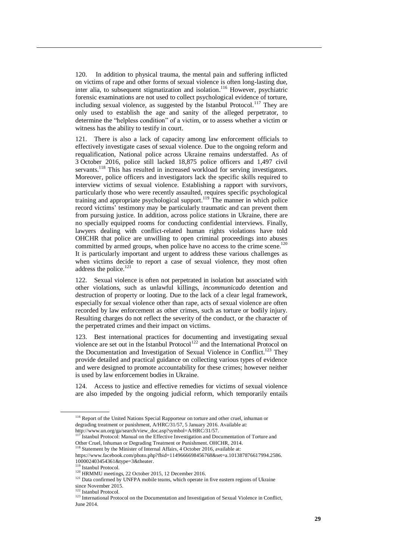120. In addition to physical trauma, the mental pain and suffering inflicted on victims of rape and other forms of sexual violence is often long-lasting due, inter alia, to subsequent stigmatization and isolation. <sup>116</sup> However, psychiatric forensic examinations are not used to collect psychological evidence of torture, including sexual violence, as suggested by the Istanbul Protocol.<sup>117</sup> They are only used to establish the age and sanity of the alleged perpetrator, to determine the "helpless condition" of a victim, or to assess whether a victim or witness has the ability to testify in court.

121. There is also a lack of capacity among law enforcement officials to effectively investigate cases of sexual violence. Due to the ongoing reform and requalification, National police across Ukraine remains understaffed. As of 3 October 2016, police still lacked 18,875 police officers and 1,497 civil servants.<sup>118</sup> This has resulted in increased workload for serving investigators. Moreover, police officers and investigators lack the specific skills required to interview victims of sexual violence. Establishing a rapport with survivors, particularly those who were recently assaulted, requires specific psychological training and appropriate psychological support.<sup>119</sup> The manner in which police record victims' testimony may be particularly traumatic and can prevent them from pursuing justice. In addition, across police stations in Ukraine, there are no specially equipped rooms for conducting confidential interviews. Finally, lawyers dealing with conflict-related human rights violations have told OHCHR that police are unwilling to open criminal proceedings into abuses committed by armed groups, when police have no access to the crime scene.<sup>120</sup> It is particularly important and urgent to address these various challenges as when victims decide to report a case of sexual violence, they most often address the police. 121

122. Sexual violence is often not perpetrated in isolation but associated with other violations, such as unlawful killings, *incommunicado* detention and destruction of property or looting. Due to the lack of a clear legal framework, especially for sexual violence other than rape, acts of sexual violence are often recorded by law enforcement as other crimes, such as torture or bodily injury. Resulting charges do not reflect the severity of the conduct, or the character of the perpetrated crimes and their impact on victims.

123. Best international practices for documenting and investigating sexual violence are set out in the Istanbul Protocol<sup>122</sup> and the International Protocol on the Documentation and Investigation of Sexual Violence in Conflict.<sup>123</sup> They provide detailed and practical guidance on collecting various types of evidence and were designed to promote accountability for these crimes; however neither is used by law enforcement bodies in Ukraine.

124. Access to justice and effective remedies for victims of sexual violence are also impeded by the ongoing judicial reform, which temporarily entails

<sup>&</sup>lt;sup>116</sup> Report of the United Nations Special Rapporteur on torture and other cruel, inhuman or degrading treatment or punishment, A/HRC/31/57, 5 January 2016. Available at: [http://www.un.org/ga/search/view\\_doc.asp?symbol=A/HRC/31/57.](http://www.un.org/ga/search/view_doc.asp?symbol=A/HRC/31/57)<br><sup>117</sup> Istanbul Protocol: Manual as the Fec

<sup>117</sup> Istanbul Protocol: Manual on the Effective Investigation and Documentation of Torture and Other Cruel, Inhuman or Degrading Treatment or Punishment. OHCHR, 2014.

 $3$  Statement by the Minister of Internal Affairs, 4 October 2016, available at:

https://www.facebook.com/photo.php?fbid=1149666698456768&set=a.101387876617994.2586. 100002403454361&type=3&theater.

<sup>&</sup>lt;sup>3</sup> Istanbul Protocol.

<sup>120</sup> HRMMU meetings, 22 October 2015, 12 December 2016.

<sup>&</sup>lt;sup>121</sup> Data confirmed by UNFPA mobile teams, which operate in five eastern regions of Ukraine

since November 2015. <sup>122</sup> Istanbul Protocol.

<sup>&</sup>lt;sup>123</sup> International Protocol on the Documentation and Investigation of Sexual Violence in Conflict, June 2014.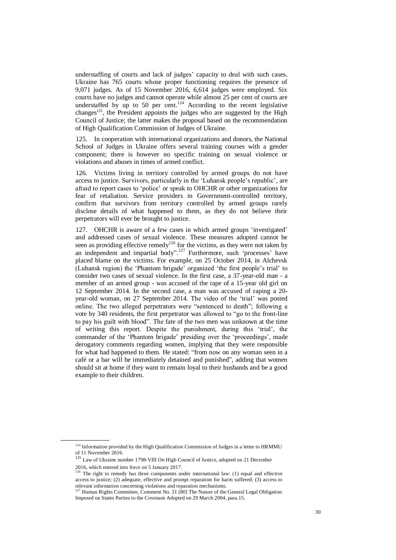understaffing of courts and lack of judges' capacity to deal with such cases. Ukraine has 765 courts whose proper functioning requires the presence of 9,071 judges. As of 15 November 2016, 6,614 judges were employed. Six courts have no judges and cannot operate while almost 25 per cent of courts are understaffed by up to 50 per cent.<sup>124</sup> According to the recent legislative changes<sup>125</sup>, the President appoints the judges who are suggested by the High Council of Justice; the latter makes the proposal based on the recommendation of High Qualification Commission of Judges of Ukraine.

125. In cooperation with international organizations and donors, the National School of Judges in Ukraine offers several training courses with a gender component; there is however no specific training on sexual violence or violations and abuses in times of armed conflict.

126. Victims living in territory controlled by armed groups do not have access to justice. Survivors, particularly in the 'Luhansk people's republic', are afraid to report cases to 'police' or speak to OHCHR or other organizations for fear of retaliation. Service providers in Government-controlled territory, confirm that survivors from territory controlled by armed groups rarely disclose details of what happened to them, as they do not believe their perpetrators will ever be brought to justice.

127. OHCHR is aware of a few cases in which armed groups 'investigated' and addressed cases of sexual violence. These measures adopted cannot be seen as providing effective remedy<sup>126</sup> for the victims, as they were not taken by an independent and impartial body".<sup>127</sup> Furthermore, such 'processes' have placed blame on the victims. For example, on 25 October 2014, in Alchevsk (Luhansk region) the 'Phantom brigade' organized 'the first people's trial' to consider two cases of sexual violence. In the first case, a 37-year-old man - a member of an armed group - was accused of the rape of a 15-year old girl on 12 September 2014. In the second case, a man was accused of raping a 20 year-old woman, on 27 September 2014. The video of the 'trial' was posted online. The two alleged perpetrators were "sentenced to death"; following a vote by 340 residents, the first perpetrator was allowed to "go to the front-line to pay his guilt with blood". The fate of the two men was unknown at the time of writing this report. Despite the punishment, during this 'trial', the commander of the 'Phantom brigade' presiding over the 'proceedings', made derogatory comments regarding women, implying that they were responsible for what had happened to them. He stated: "from now on any woman seen in a café or a bar will be immediately detained and punished", adding that women should sit at home if they want to remain loyal to their husbands and be a good example to their children.

<sup>&</sup>lt;sup>124</sup> Information provided by the High Qualification Commission of Judges in a letter to HRMMU of 11 November 2016.

 $125$  Law of Ukraine number 1798-VIII On High Council of Justice, adopted on 21 December 2016, which entered into force on 5 January 2017.

<sup>&</sup>lt;sup>126</sup> The right to remedy has three components under international law: (1) equal and effective access to justice; (2) adequate, effective and prompt reparation for harm suffered; (3) access to relevant information concerning violations and reparation mechanisms.<br><sup>127</sup> Human Rights Committee, Comment No. 31 [80] The Nature of the General Legal Obligation

Imposed on States Parties to the Covenant Adopted on 29 March 2004, para.15.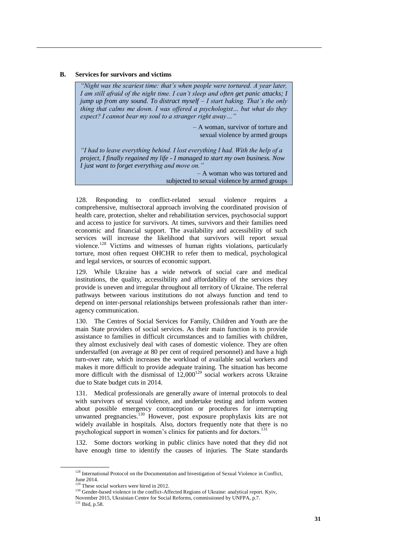### **B. Services for survivors and victims**

*"Night was the scariest time: that's when people were tortured. A year later, I am still afraid of the night time. I can't sleep and often get panic attacks; I jump up from any sound. To distract myself – I start baking. That's the only thing that calms me down. I was offered a psychologist… but what do they expect? I cannot bear my soul to a stranger right away…"*

> – A woman, survivor of torture and sexual violence by armed groups

*"I had to leave everything behind. I lost everything I had. With the help of a project, I finally regained my life - I managed to start my own business. Now I just want to forget everything and move on."* 

– A woman who was tortured and subjected to sexual violence by armed groups

128. Responding to conflict-related sexual violence requires a comprehensive, multisectoral approach involving the coordinated provision of health care, protection, shelter and rehabilitation services, psychosocial support and access to justice for survivors. At times, survivors and their families need economic and financial support. The availability and accessibility of such services will increase the likelihood that survivors will report sexual violence.<sup>128</sup> Victims and witnesses of human rights violations, particularly torture, most often request OHCHR to refer them to medical, psychological and legal services, or sources of economic support.

129. While Ukraine has a wide network of social care and medical institutions, the quality, accessibility and affordability of the services they provide is uneven and irregular throughout all territory of Ukraine. The referral pathways between various institutions do not always function and tend to depend on inter-personal relationships between professionals rather than interagency communication.

130. The Centres of Social Services for Family, Children and Youth are the main State providers of social services. As their main function is to provide assistance to families in difficult circumstances and to families with children, they almost exclusively deal with cases of domestic violence. They are often understaffed (on average at 80 per cent of required personnel) and have a high turn-over rate, which increases the workload of available social workers and makes it more difficult to provide adequate training. The situation has become more difficult with the dismissal of  $12,000^{129}$  social workers across Ukraine due to State budget cuts in 2014.

131. Medical professionals are generally aware of internal protocols to deal with survivors of sexual violence, and undertake testing and inform women about possible emergency contraception or procedures for interrupting unwanted pregnancies.<sup>130</sup> However, post exposure prophylaxis kits are not widely available in hospitals. Also, doctors frequently note that there is no psychological support in women's clinics for patients and for doctors.<sup>131</sup>

132. Some doctors working in public clinics have noted that they did not have enough time to identify the causes of injuries. The State standards

<sup>&</sup>lt;sup>128</sup> International Protocol on the Documentation and Investigation of Sexual Violence in Conflict, June 2014.

These social workers were hired in  $2012$ .

<sup>&</sup>lt;sup>130</sup> Gender-based violence in the conflict-Affected Regions of Ukraine: analytical report. Kyiv,

November 2015, Ukrainian Centre for Social Reforms, commissioned by UNFPA, p.7.

<sup>131</sup> Ibid, p.58.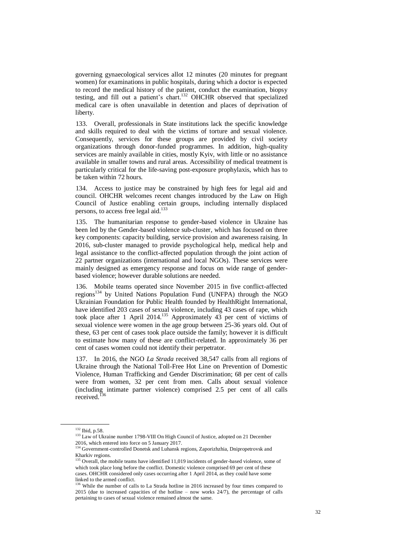governing gynaecological services allot 12 minutes (20 minutes for pregnant women) for examinations in public hospitals, during which a doctor is expected to record the medical history of the patient, conduct the examination, biopsy testing, and fill out a patient's chart. <sup>132</sup> OHCHR observed that specialized medical care is often unavailable in detention and places of deprivation of liberty.

133. Overall, professionals in State institutions lack the specific knowledge and skills required to deal with the victims of torture and sexual violence. Consequently, services for these groups are provided by civil society organizations through donor-funded programmes. In addition, high-quality services are mainly available in cities, mostly Kyiv, with little or no assistance available in smaller towns and rural areas. Accessibility of medical treatment is particularly critical for the life-saving post-exposure prophylaxis, which has to be taken within 72 hours.

134. Access to justice may be constrained by high fees for legal aid and council. OHCHR welcomes recent changes introduced by the Law on High Council of Justice enabling certain groups, including internally displaced persons, to access free legal aid.<sup>133</sup>

135. The humanitarian response to gender-based violence in Ukraine has been led by the Gender-based violence sub-cluster, which has focused on three key components: capacity building, service provision and awareness raising. In 2016, sub-cluster managed to provide psychological help, medical help and legal assistance to the conflict-affected population through the joint action of 22 partner organizations (international and local NGOs). These services were mainly designed as emergency response and focus on wide range of genderbased violence; however durable solutions are needed.

136. Mobile teams operated since November 2015 in five conflict-affected regions<sup>134</sup> by United Nations Population Fund (UNFPA) through the NGO Ukrainian Foundation for Public Health founded by HealthRight International, have identified 203 cases of sexual violence, including 43 cases of rape, which took place after 1 April 2014. <sup>135</sup> Approximately 43 per cent of victims of sexual violence were women in the age group between 25-36 years old. Out of these, 63 per cent of cases took place outside the family; however it is difficult to estimate how many of these are conflict-related. In approximately 36 per cent of cases women could not identify their perpetrator.

137. In 2016, the NGO *La Strada* received 38,547 calls from all regions of Ukraine through the National Toll-Free Hot Line on Prevention of Domestic Violence, Human Trafficking and Gender Discrimination; 68 per cent of calls were from women, 32 per cent from men. Calls about sexual violence (including intimate partner violence) comprised 2.5 per cent of all calls received.<sup>136</sup>

<sup>132</sup> Ibid, p.58.

<sup>&</sup>lt;sup>133</sup> Law of Ukraine number 1798-VIII On High Council of Justice, adopted on 21 December 2016, which entered into force on 5 January 2017.

<sup>&</sup>lt;sup>134</sup> Government-controlled Donetsk and Luhansk regions, Zaporizhzhia, Dnipropetrovsk and Kharkiv regions.

<sup>&</sup>lt;sup>135</sup> Overall, the mobile teams have identified 11,019 incidents of gender-based violence, some of which took place long before the conflict. Domestic violence comprised 69 per cent of these cases. OHCHR considered only cases occurring after 1 April 2014, as they could have some linked to the armed conflict.

<sup>&</sup>lt;sup>136</sup> While the number of calls to La Strada hotline in 2016 increased by four times compared to 2015 (due to increased capacities of the hotline – now works 24/7), the percentage of calls pertaining to cases of sexual violence remained almost the same.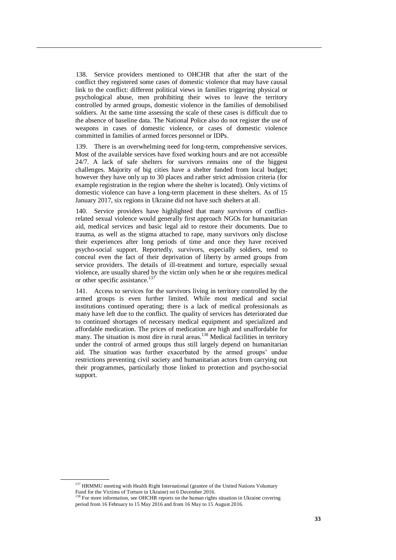138. Service providers mentioned to OHCHR that after the start of the conflict they registered some cases of domestic violence that may have causal link to the conflict: different political views in families triggering physical or psychological abuse, men prohibiting their wives to leave the territory controlled by armed groups, domestic violence in the families of demobilised soldiers. At the same time assessing the scale of these cases is difficult due to the absence of baseline data. The National Police also do not register the use of weapons in cases of domestic violence, or cases of domestic violence committed in families of armed forces personnel or IDPs.

139. There is an overwhelming need for long-term, comprehensive services. Most of the available services have fixed working hours and are not accessible 24/7. A lack of safe shelters for survivors remains one of the biggest challenges. Majority of big cities have a shelter funded from local budget; however they have only up to 30 places and rather strict admission criteria (for example registration in the region where the shelter is located). Only victims of domestic violence can have a long-term placement in these shelters. As of 15 January 2017, six regions in Ukraine did not have such shelters at all.

140. Service providers have highlighted that many survivors of conflictrelated sexual violence would generally first approach NGOs for humanitarian aid, medical services and basic legal aid to restore their documents. Due to trauma, as well as the stigma attached to rape, many survivors only disclose their experiences after long periods of time and once they have received psycho-social support. Reportedly, survivors, especially soldiers, tend to conceal even the fact of their deprivation of liberty by armed groups from service providers. The details of ill-treatment and torture, especially sexual violence, are usually shared by the victim only when he or she requires medical or other specific assistance. $13$ 

141. Access to services for the survivors living in territory controlled by the armed groups is even further limited. While most medical and social institutions continued operating; there is a lack of medical professionals as many have left due to the conflict. The quality of services has deteriorated due to continued shortages of necessary medical equipment and specialized and affordable medication. The prices of medication are high and unaffordable for many. The situation is most dire in rural areas.<sup>138</sup> Medical facilities in territory under the control of armed groups thus still largely depend on humanitarian aid. The situation was further exacerbated by the armed groups' undue restrictions preventing civil society and humanitarian actors from carrying out their programmes, particularly those linked to protection and psycho-social support.

<sup>&</sup>lt;sup>137</sup> HRMMU meeting with Health Right International (grantee of the United Nations Voluntary Fund for the Victims of Torture in Ukraine) on 6 December 2016.

<sup>138</sup> For more information, see OHCHR reports on the human rights situation in Ukraine covering period from 16 February to 15 May 2016 and from 16 May to 15 August 2016.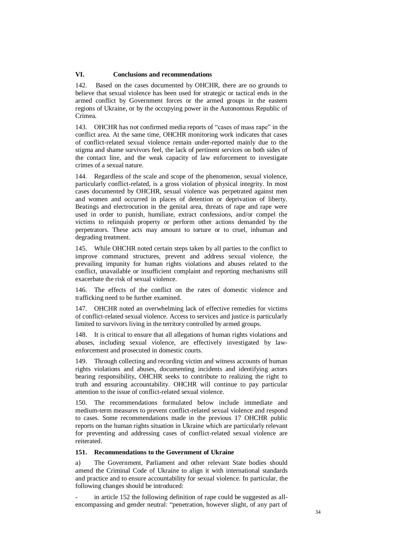## **VI. Conclusions and recommendations**

142. Based on the cases documented by OHCHR, there are no grounds to believe that sexual violence has been used for strategic or tactical ends in the armed conflict by Government forces or the armed groups in the eastern regions of Ukraine, or by the occupying power in the Autonomous Republic of Crimea.

143. OHCHR has not confirmed media reports of "cases of mass rape" in the conflict area. At the same time, OHCHR monitoring work indicates that cases of conflict-related sexual violence remain under-reported mainly due to the stigma and shame survivors feel, the lack of pertinent services on both sides of the contact line, and the weak capacity of law enforcement to investigate crimes of a sexual nature.

144. Regardless of the scale and scope of the phenomenon, sexual violence, particularly conflict-related, is a gross violation of physical integrity. In most cases documented by OHCHR, sexual violence was perpetrated against men and women and occurred in places of detention or deprivation of liberty. Beatings and electrocution in the genital area, threats of rape and rape were used in order to punish, humiliate, extract confessions, and/or compel the victims to relinquish property or perform other actions demanded by the perpetrators. These acts may amount to torture or to cruel, inhuman and degrading treatment.

145. While OHCHR noted certain steps taken by all parties to the conflict to improve command structures, prevent and address sexual violence, the prevailing impunity for human rights violations and abuses related to the conflict, unavailable or insufficient complaint and reporting mechanisms still exacerbate the risk of sexual violence.

146. The effects of the conflict on the rates of domestic violence and trafficking need to be further examined.

147. OHCHR noted an overwhelming lack of effective remedies for victims of conflict-related sexual violence. Access to services and justice is particularly limited to survivors living in the territory controlled by armed groups.

148. It is critical to ensure that all allegations of human rights violations and abuses, including sexual violence, are effectively investigated by lawenforcement and prosecuted in domestic courts.

149. Through collecting and recording victim and witness accounts of human rights violations and abuses, documenting incidents and identifying actors bearing responsibility, OHCHR seeks to contribute to realizing the right to truth and ensuring accountability. OHCHR will continue to pay particular attention to the issue of conflict-related sexual violence.

150. The recommendations formulated below include immediate and medium-term measures to prevent conflict-related sexual violence and respond to cases. Some recommendations made in the previous 17 OHCHR public reports on the human rights situation in Ukraine which are particularly relevant for preventing and addressing cases of conflict-related sexual violence are reiterated.

# **151. Recommendations to the Government of Ukraine**

a) The Government, Parliament and other relevant State bodies should amend the Criminal Code of Ukraine to align it with international standards and practice and to ensure accountability for sexual violence. In particular, the following changes should be introduced:

in article 152 the following definition of rape could be suggested as allencompassing and gender neutral: "penetration, however slight, of any part of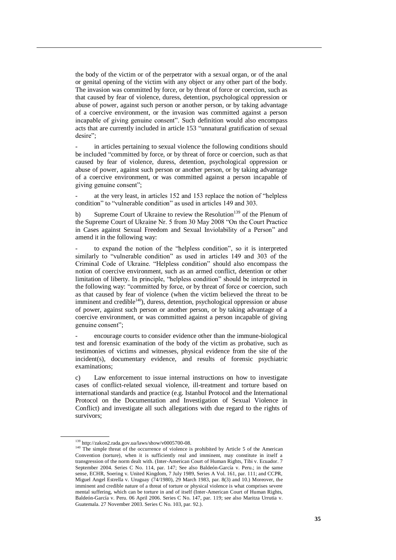the body of the victim or of the perpetrator with a sexual organ, or of the anal or genital opening of the victim with any object or any other part of the body. The invasion was committed by force, or by threat of force or coercion, such as that caused by fear of violence, duress, detention, psychological oppression or abuse of power, against such person or another person, or by taking advantage of a coercive environment, or the invasion was committed against a person incapable of giving genuine consent". Such definition would also encompass acts that are currently included in article 153 "unnatural gratification of sexual desire";

in articles pertaining to sexual violence the following conditions should be included "committed by force, or by threat of force or coercion, such as that caused by fear of violence, duress, detention, psychological oppression or abuse of power, against such person or another person, or by taking advantage of a coercive environment, or was committed against a person incapable of giving genuine consent";

at the very least, in articles 152 and 153 replace the notion of "helpless" condition" to "vulnerable condition" as used in articles 149 and 303.

b) Supreme Court of Ukraine to review the Resolution<sup>139</sup> of the Plenum of the Supreme Court of Ukraine Nr. 5 from 30 May 2008 "On the Court Practice in Cases against Sexual Freedom and Sexual Inviolability of a Person" and amend it in the following way:

- to expand the notion of the "helpless condition", so it is interpreted similarly to "vulnerable condition" as used in articles 149 and 303 of the Criminal Code of Ukraine. "Helpless condition" should also encompass the notion of coercive environment, such as an armed conflict, detention or other limitation of liberty. In principle, "helpless condition" should be interpreted in the following way: "committed by force, or by threat of force or coercion, such as that caused by fear of violence (when the victim believed the threat to be imminent and credible $140$ , duress, detention, psychological oppression or abuse of power, against such person or another person, or by taking advantage of a coercive environment, or was committed against a person incapable of giving genuine consent";

- encourage courts to consider evidence other than the immune-biological test and forensic examination of the body of the victim as probative, such as testimonies of victims and witnesses, physical evidence from the site of the incident(s), documentary evidence, and results of forensic psychiatric examinations;

c) Law enforcement to issue internal instructions on how to investigate cases of conflict-related sexual violence, ill-treatment and torture based on international standards and practice (e.g. Istanbul Protocol and the International Protocol on the Documentation and Investigation of Sexual Violence in Conflict) and investigate all such allegations with due regard to the rights of survivors;

<sup>139</sup> http://zakon2.rada.gov.ua/laws/show/v0005700-08.

<sup>&</sup>lt;sup>140</sup> The simple threat of the occurrence of violence is prohibited by Article 5 of the American Convention (torture), when it is sufficiently real and imminent, may constitute in itself a transgression of the norm dealt with. (Inter-American Court of Human Rights, Tibi v. Ecuador. 7 September 2004. Series C No. 114, par. 147; See also Baldeón-García v. Peru.; in the same sense, ECHR, Soering v. United Kingdom, 7 July 1989, Series A Vol. 161, par. 111; and CCPR, Miguel Angel Estrella v. Uruguay (74/1980), 29 March 1983, par. 8(3) and 10.) Moreover, the imminent and credible nature of a threat of torture or physical violence is what comprises severe mental suffering, which can be torture in and of itself (Inter-American Court of Human Rights, Baldeón-García v. Peru. 06 April 2006. Series C No. 147, par. 119; see also Maritza Urrutia v. Guatemala. 27 November 2003. Series C No. 103, par. 92.).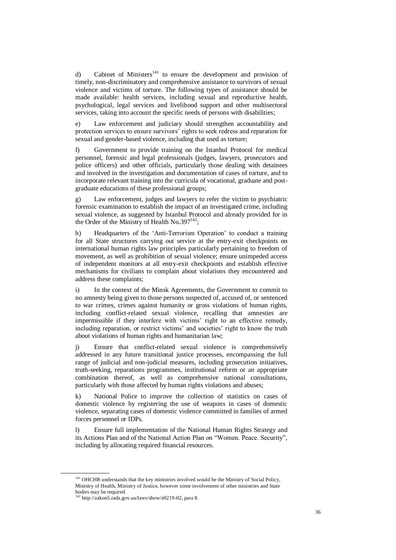d) Cabinet of Ministers<sup>141</sup> to ensure the development and provision of timely, non-discriminatory and comprehensive assistance to survivors of sexual violence and victims of torture. The following types of assistance should be made available: health services, including sexual and reproductive health, psychological, legal services and livelihood support and other multisectoral services, taking into account the specific needs of persons with disabilities;

e) Law enforcement and judiciary should strengthen accountability and protection services to ensure survivors' rights to seek redress and reparation for sexual and gender-based violence, including that used as torture;

f) Government to provide training on the Istanbul Protocol for medical personnel, forensic and legal professionals (judges, lawyers, prosecutors and police officers) and other officials, particularly those dealing with detainees and involved in the investigation and documentation of cases of torture, and to incorporate relevant training into the curricula of vocational, graduate and postgraduate educations of these professional groups;

g) Law enforcement, judges and lawyers to refer the victim to psychiatric forensic examination to establish the impact of an investigated crime, including sexual violence, as suggested by Istanbul Protocol and already provided for in the Order of the Ministry of Health No.397 $^{142}$ ;

h) Headquarters of the 'Anti-Terrorism Operation' to conduct a training for all State structures carrying out service at the entry-exit checkpoints on international human rights law principles particularly pertaining to freedom of movement, as well as prohibition of sexual violence; ensure unimpeded access of independent monitors at all entry-exit checkpoints and establish effective mechanisms for civilians to complain about violations they encountered and address these complaints;

i) In the context of the Minsk Agreements, the Government to commit to no amnesty being given to those persons suspected of, accused of, or sentenced to war crimes, crimes against humanity or gross violations of human rights, including conflict-related sexual violence, recalling that amnesties are impermissible if they interfere with victims' right to an effective remedy, including reparation, or restrict victims' and societies' right to know the truth about violations of human rights and humanitarian law;

j) Ensure that conflict-related sexual violence is comprehensively addressed in any future transitional justice processes, encompassing the full range of judicial and non-judicial measures, including prosecution initiatives, truth-seeking, reparations programmes, institutional reform or an appropriate combination thereof, as well as comprehensive national consultations, particularly with those affected by human rights violations and abuses;

k) National Police to improve the collection of statistics on cases of domestic violence by registering the use of weapons in cases of domestic violence, separating cases of domestic violence committed in families of armed forces personnel or IDPs.

l) Ensure full implementation of the National Human Rights Strategy and its Actions Plan and of the National Action Plan on "Women. Peace. Security", including by allocating required financial resources.

<sup>&</sup>lt;sup>141</sup> OHCHR understands that the key ministries involved would be the Ministry of Social Policy, Ministry of Health, Ministry of Justice, however some involvement of other ministries and State bodies may be required. <sup>142</sup> [http://zakon5.rada.gov.ua/laws/show/z0219-02,](http://zakon5.rada.gov.ua/laws/show/z0219-02) para 8.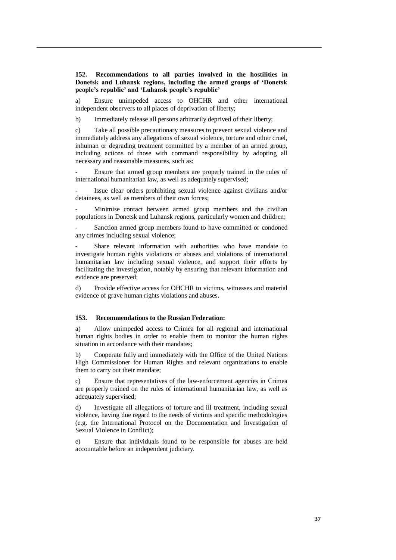# **152. Recommendations to all parties involved in the hostilities in Donetsk and Luhansk regions, including the armed groups of 'Donetsk people's republic' and 'Luhansk people's republic'**

a) Ensure unimpeded access to OHCHR and other international independent observers to all places of deprivation of liberty;

b) Immediately release all persons arbitrarily deprived of their liberty;

c) Take all possible precautionary measures to prevent sexual violence and immediately address any allegations of sexual violence, torture and other cruel, inhuman or degrading treatment committed by a member of an armed group, including actions of those with command responsibility by adopting all necessary and reasonable measures, such as:

- Ensure that armed group members are properly trained in the rules of international humanitarian law, as well as adequately supervised;

Issue clear orders prohibiting sexual violence against civilians and/or detainees, as well as members of their own forces;

Minimise contact between armed group members and the civilian populations in Donetsk and Luhansk regions, particularly women and children;

Sanction armed group members found to have committed or condoned any crimes including sexual violence;

Share relevant information with authorities who have mandate to investigate human rights violations or abuses and violations of international humanitarian law including sexual violence, and support their efforts by facilitating the investigation, notably by ensuring that relevant information and evidence are preserved;

d) Provide effective access for OHCHR to victims, witnesses and material evidence of grave human rights violations and abuses.

### **153. Recommendations to the Russian Federation:**

a) Allow unimpeded access to Crimea for all regional and international human rights bodies in order to enable them to monitor the human rights situation in accordance with their mandates;

b) Cooperate fully and immediately with the Office of the United Nations High Commissioner for Human Rights and relevant organizations to enable them to carry out their mandate;

c) Ensure that representatives of the law-enforcement agencies in Crimea are properly trained on the rules of international humanitarian law, as well as adequately supervised;

d) Investigate all allegations of torture and ill treatment, including sexual violence, having due regard to the needs of victims and specific methodologies (e.g. the International Protocol on the Documentation and Investigation of Sexual Violence in Conflict);

e) Ensure that individuals found to be responsible for abuses are held accountable before an independent judiciary.